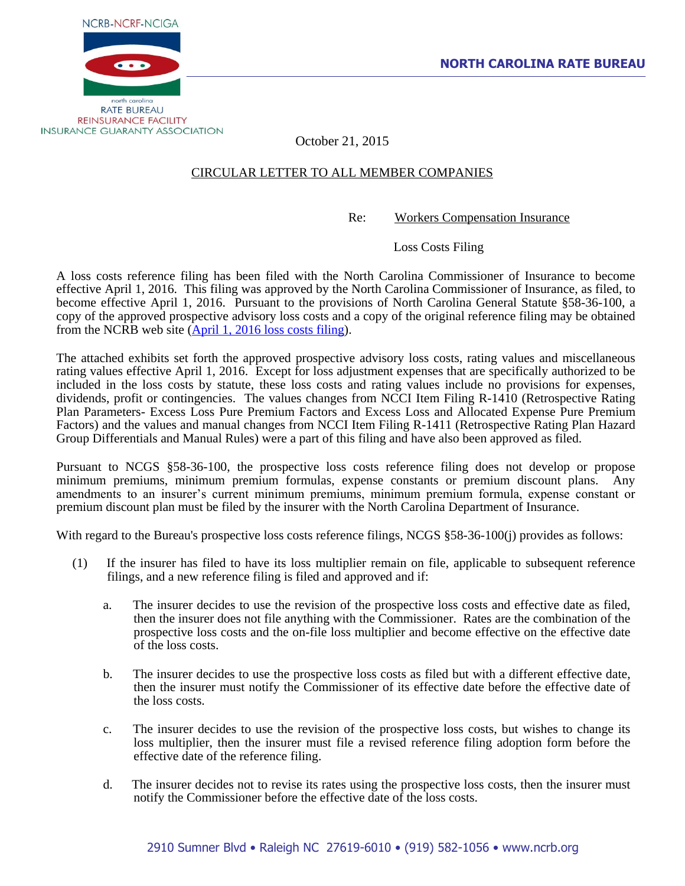



October 21, 2015

## CIRCULAR LETTER TO ALL MEMBER COMPANIES

Re: Workers Compensation Insurance

Loss Costs Filing

A loss costs reference filing has been filed with the North Carolina Commissioner of Insurance to become effective April 1, 2016. This filing was approved by the North Carolina Commissioner of Insurance, as filed, to become effective April 1, 2016. Pursuant to the provisions of North Carolina General Statute §58-36-100, a copy of the approved prospective advisory loss costs and a copy of the original reference filing may be obtained from the NCRB web site (April 1, 2016 [loss costs filing\)](http://www.ncrb.org/ncrb/WorkersCompensation/Carrier/LossCostsandAssignedRiskRates/tabid/124/Default.aspx).

The attached exhibits set forth the approved prospective advisory loss costs, rating values and miscellaneous rating values effective April 1, 2016. Except for loss adjustment expenses that are specifically authorized to be included in the loss costs by statute, these loss costs and rating values include no provisions for expenses, dividends, profit or contingencies. The values changes from NCCI Item Filing R-1410 (Retrospective Rating Plan Parameters- Excess Loss Pure Premium Factors and Excess Loss and Allocated Expense Pure Premium Factors) and the values and manual changes from NCCI Item Filing R-1411 (Retrospective Rating Plan Hazard Group Differentials and Manual Rules) were a part of this filing and have also been approved as filed.

Pursuant to NCGS §58-36-100, the prospective loss costs reference filing does not develop or propose minimum premiums, minimum premium formulas, expense constants or premium discount plans. Any amendments to an insurer's current minimum premiums, minimum premium formula, expense constant or premium discount plan must be filed by the insurer with the North Carolina Department of Insurance.

With regard to the Bureau's prospective loss costs reference filings, NCGS §58-36-100(j) provides as follows:

- (1) If the insurer has filed to have its loss multiplier remain on file, applicable to subsequent reference filings, and a new reference filing is filed and approved and if:
	- a. The insurer decides to use the revision of the prospective loss costs and effective date as filed, then the insurer does not file anything with the Commissioner. Rates are the combination of the prospective loss costs and the on-file loss multiplier and become effective on the effective date of the loss costs.
	- b. The insurer decides to use the prospective loss costs as filed but with a different effective date, then the insurer must notify the Commissioner of its effective date before the effective date of the loss costs.
	- c. The insurer decides to use the revision of the prospective loss costs, but wishes to change its loss multiplier, then the insurer must file a revised reference filing adoption form before the effective date of the reference filing.
	- d. The insurer decides not to revise its rates using the prospective loss costs, then the insurer must notify the Commissioner before the effective date of the loss costs.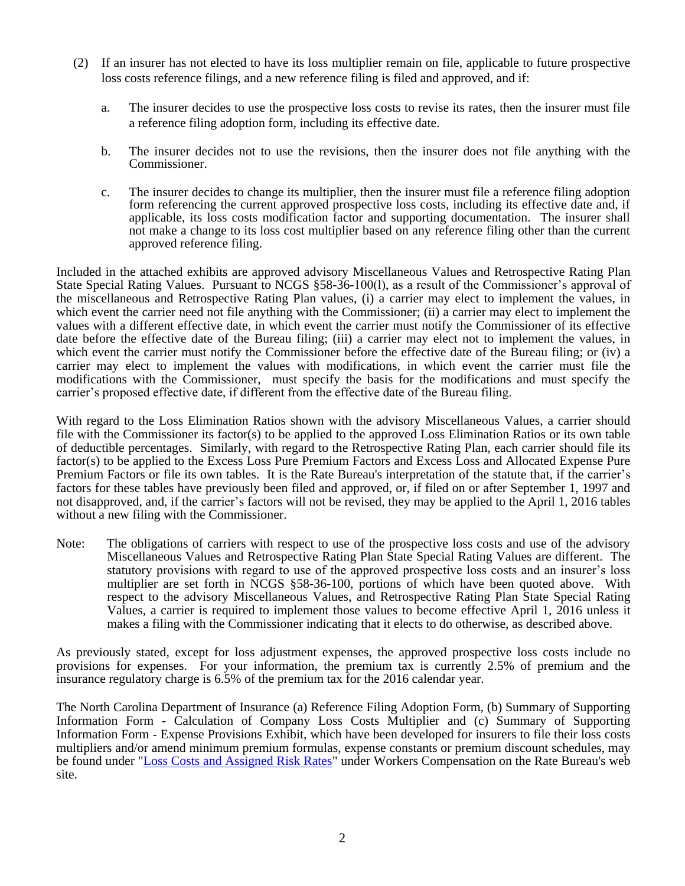- (2) If an insurer has not elected to have its loss multiplier remain on file, applicable to future prospective loss costs reference filings, and a new reference filing is filed and approved, and if:
	- a. The insurer decides to use the prospective loss costs to revise its rates, then the insurer must file a reference filing adoption form, including its effective date.
	- b. The insurer decides not to use the revisions, then the insurer does not file anything with the Commissioner.
	- c. The insurer decides to change its multiplier, then the insurer must file a reference filing adoption form referencing the current approved prospective loss costs, including its effective date and, if applicable, its loss costs modification factor and supporting documentation. The insurer shall not make a change to its loss cost multiplier based on any reference filing other than the current approved reference filing.

Included in the attached exhibits are approved advisory Miscellaneous Values and Retrospective Rating Plan State Special Rating Values. Pursuant to NCGS §58-36-100(l), as a result of the Commissioner's approval of the miscellaneous and Retrospective Rating Plan values, (i) a carrier may elect to implement the values, in which event the carrier need not file anything with the Commissioner; (ii) a carrier may elect to implement the values with a different effective date, in which event the carrier must notify the Commissioner of its effective date before the effective date of the Bureau filing; (iii) a carrier may elect not to implement the values, in which event the carrier must notify the Commissioner before the effective date of the Bureau filing; or (iv) a carrier may elect to implement the values with modifications, in which event the carrier must file the modifications with the Commissioner, must specify the basis for the modifications and must specify the carrier's proposed effective date, if different from the effective date of the Bureau filing.

With regard to the Loss Elimination Ratios shown with the advisory Miscellaneous Values, a carrier should file with the Commissioner its factor(s) to be applied to the approved Loss Elimination Ratios or its own table of deductible percentages. Similarly, with regard to the Retrospective Rating Plan, each carrier should file its factor(s) to be applied to the Excess Loss Pure Premium Factors and Excess Loss and Allocated Expense Pure Premium Factors or file its own tables. It is the Rate Bureau's interpretation of the statute that, if the carrier's factors for these tables have previously been filed and approved, or, if filed on or after September 1, 1997 and not disapproved, and, if the carrier's factors will not be revised, they may be applied to the April 1, 2016 tables without a new filing with the Commissioner.

Note: The obligations of carriers with respect to use of the prospective loss costs and use of the advisory Miscellaneous Values and Retrospective Rating Plan State Special Rating Values are different. The statutory provisions with regard to use of the approved prospective loss costs and an insurer's loss multiplier are set forth in NCGS §58-36-100, portions of which have been quoted above. With respect to the advisory Miscellaneous Values, and Retrospective Rating Plan State Special Rating Values, a carrier is required to implement those values to become effective April 1, 2016 unless it makes a filing with the Commissioner indicating that it elects to do otherwise, as described above.

As previously stated, except for loss adjustment expenses, the approved prospective loss costs include no provisions for expenses. For your information, the premium tax is currently 2.5% of premium and the insurance regulatory charge is 6.5% of the premium tax for the 2016 calendar year.

The North Carolina Department of Insurance (a) Reference Filing Adoption Form, (b) Summary of Supporting Information Form - Calculation of Company Loss Costs Multiplier and (c) Summary of Supporting Information Form - Expense Provisions Exhibit, which have been developed for insurers to file their loss costs multipliers and/or amend minimum premium formulas, expense constants or premium discount schedules, may be found under ["Loss Costs and Assigned Risk Rates"](http://www.ncrb.org/ncrb/WorkersCompensation/Carrier/LossCostsandAssignedRiskRates/tabid/124/Default.aspx) under Workers Compensation on the Rate Bureau's web site.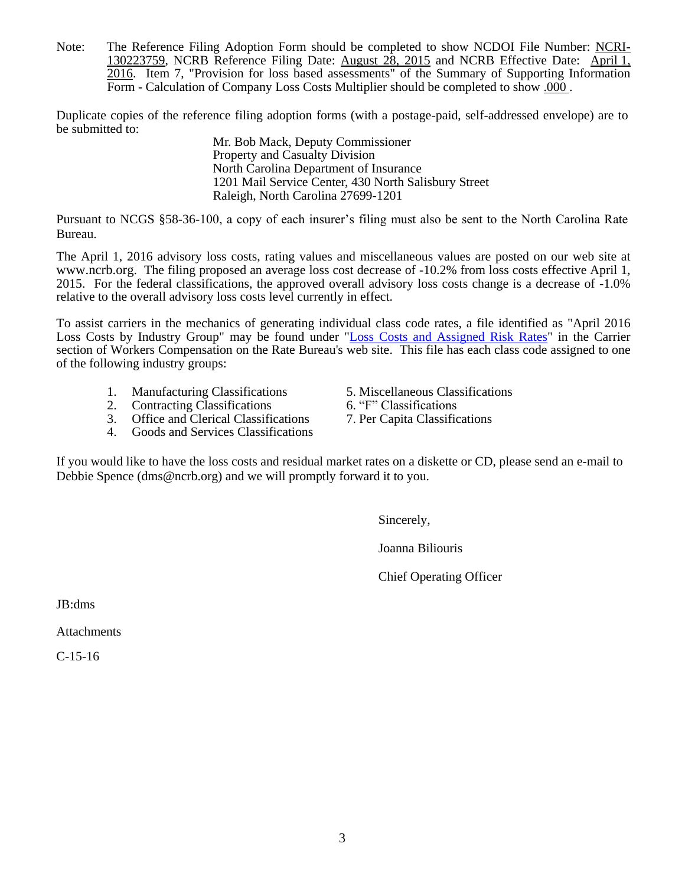Note: The Reference Filing Adoption Form should be completed to show NCDOI File Number: NCRI-130223759, NCRB Reference Filing Date: August 28, 2015 and NCRB Effective Date: April 1, 2016. Item 7, "Provision for loss based assessments" of the Summary of Supporting Information Form - Calculation of Company Loss Costs Multiplier should be completed to show .000 .

Duplicate copies of the reference filing adoption forms (with a postage-paid, self-addressed envelope) are to be submitted to:

Mr. Bob Mack, Deputy Commissioner Property and Casualty Division North Carolina Department of Insurance 1201 Mail Service Center, 430 North Salisbury Street Raleigh, North Carolina 27699-1201

Pursuant to NCGS §58-36-100, a copy of each insurer's filing must also be sent to the North Carolina Rate Bureau.

The April 1, 2016 advisory loss costs, rating values and miscellaneous values are posted on our web site at [www.ncrb.org](http://www.ncrb.org/). The filing proposed an average loss cost decrease of -10.2% from loss costs effective April 1, 2015. For the federal classifications, the approved overall advisory loss costs change is a decrease of -1.0% relative to the overall advisory loss costs level currently in effect.

To assist carriers in the mechanics of generating individual class code rates, a file identified as "April 2016 Loss Costs by Industry Group" may be found under ["Loss Costs and Assigned Risk Rates"](http://www.ncrb.org/ncrb/WorkersCompensation/Carrier/LossCostsandAssignedRiskRates/tabid/124/Default.aspx) in the Carrier section of Workers Compensation on the Rate Bureau's web site. This file has each class code assigned to one of the following industry groups:

- 
- 
- 2. Contracting Classifications 6. "F" Classifications<br>
3. Office and Clerical Classifications 7. Per Capita Classifications Office and Clerical Classifications
- 4. Goods and Services Classifications

1. Manufacturing Classifications 5. Miscellaneous Classifications 2. Contracting Classifications 6. "F" Classifications

- 
- 

If you would like to have the loss costs and residual market rates on a diskette or CD, please send an e-mail to Debbie Spence (dms@ncrb.org) and we will promptly forward it to you.

Sincerely,

Joanna Biliouris

Chief Operating Officer

JB:dms

Attachments

C-15-16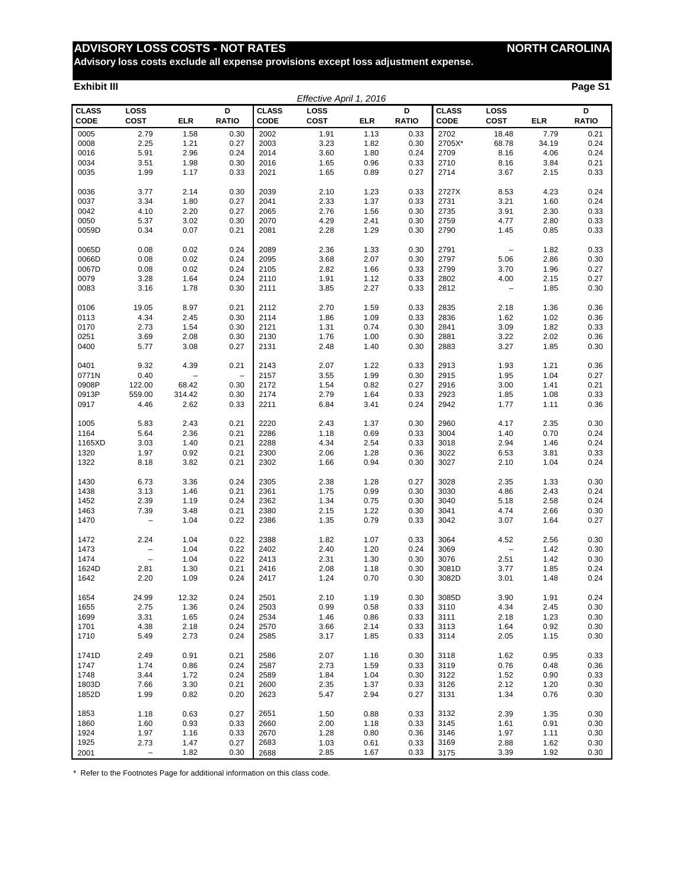# **ADVISORY LOSS COSTS - NOT RATES NORTH CAROLINA**

**Advisory loss costs exclude all expense provisions except loss adjustment expense.**

#### **Exhibit III Page S1**

|                             |                          |        |                          |                             | Effective April 1, 2016 |            |                   |                      |                          |            |                   |
|-----------------------------|--------------------------|--------|--------------------------|-----------------------------|-------------------------|------------|-------------------|----------------------|--------------------------|------------|-------------------|
| <b>CLASS</b><br><b>CODE</b> | LOSS<br><b>COST</b>      | ELR    | D<br><b>RATIO</b>        | <b>CLASS</b><br><b>CODE</b> | LOSS<br><b>COST</b>     | <b>ELR</b> | D<br><b>RATIO</b> | <b>CLASS</b><br>CODE | LOSS<br>COST             | <b>ELR</b> | D<br><b>RATIO</b> |
| 0005                        | 2.79                     | 1.58   | 0.30                     | 2002                        | 1.91                    | 1.13       | 0.33              | 2702                 | 18.48                    | 7.79       | 0.21              |
| 0008                        | 2.25                     | 1.21   | 0.27                     | 2003                        | 3.23                    | 1.82       | 0.30              | 2705X*               | 68.78                    | 34.19      | 0.24              |
| 0016                        | 5.91                     | 2.96   | 0.24                     | 2014                        | 3.60                    | 1.80       | 0.24              | 2709                 | 8.16                     | 4.06       | 0.24              |
| 0034                        | 3.51                     | 1.98   | 0.30                     | 2016                        | 1.65                    | 0.96       | 0.33              | 2710                 | 8.16                     | 3.84       | 0.21              |
| 0035                        | 1.99                     | 1.17   | 0.33                     | 2021                        | 1.65                    | 0.89       | 0.27              | 2714                 | 3.67                     | 2.15       | 0.33              |
| 0036                        | 3.77                     | 2.14   | 0.30                     | 2039                        | 2.10                    | 1.23       | 0.33              | 2727X                | 8.53                     | 4.23       | 0.24              |
| 0037                        | 3.34                     | 1.80   | 0.27                     | 2041                        | 2.33                    | 1.37       | 0.33              | 2731                 | 3.21                     | 1.60       | 0.24              |
| 0042                        | 4.10                     | 2.20   | 0.27                     | 2065                        | 2.76                    | 1.56       | 0.30              | 2735                 | 3.91                     | 2.30       | 0.33              |
| 0050                        | 5.37                     | 3.02   | 0.30                     | 2070                        | 4.29                    | 2.41       | 0.30              | 2759                 | 4.77                     | 2.80       | 0.33              |
| 0059D                       | 0.34                     | 0.07   | 0.21                     | 2081                        | 2.28                    | 1.29       | 0.30              | 2790                 | 1.45                     | 0.85       | 0.33              |
| 0065D                       | 0.08                     | 0.02   | 0.24                     | 2089                        | 2.36                    | 1.33       | 0.30              | 2791                 | $\qquad \qquad -$        | 1.82       | 0.33              |
| 0066D                       | 0.08                     | 0.02   | 0.24                     | 2095                        | 3.68                    | 2.07       | 0.30              | 2797                 | 5.06                     | 2.86       | 0.30              |
| 0067D                       | 0.08                     | 0.02   | 0.24                     | 2105                        | 2.82                    | 1.66       | 0.33              | 2799                 | 3.70                     | 1.96       | 0.27              |
| 0079                        | 3.28                     | 1.64   | 0.24                     | 2110                        | 1.91                    | 1.12       | 0.33              | 2802                 | 4.00                     | 2.15       | 0.27              |
| 0083                        | 3.16                     | 1.78   | 0.30                     | 2111                        | 3.85                    | 2.27       | 0.33              | 2812                 | $\qquad \qquad -$        | 1.85       | 0.30              |
| 0106                        | 19.05                    | 8.97   | 0.21                     | 2112                        | 2.70                    | 1.59       | 0.33              | 2835                 | 2.18                     | 1.36       | 0.36              |
| 0113                        | 4.34                     | 2.45   | 0.30                     | 2114                        | 1.86                    | 1.09       | 0.33              | 2836                 | 1.62                     | 1.02       | 0.36              |
| 0170                        | 2.73                     | 1.54   | 0.30                     | 2121                        | 1.31                    | 0.74       | 0.30              | 2841                 | 3.09                     | 1.82       | 0.33              |
| 0251                        | 3.69                     | 2.08   | 0.30                     | 2130                        | 1.76                    | 1.00       | 0.30              | 2881                 | 3.22                     | 2.02       | 0.36              |
| 0400                        | 5.77                     | 3.08   | 0.27                     | 2131                        | 2.48                    | 1.40       | 0.30              | 2883                 | 3.27                     | 1.85       | 0.30              |
| 0401                        | 9.32                     | 4.39   | 0.21                     | 2143                        | 2.07                    | 1.22       | 0.33              | 2913                 | 1.93                     | 1.21       | 0.36              |
| 0771N                       | 0.40                     |        | $\overline{\phantom{0}}$ | 2157                        | 3.55                    | 1.99       | 0.30              | 2915                 | 1.95                     | 1.04       | 0.27              |
| 0908P                       | 122.00                   | 68.42  | 0.30                     | 2172                        | 1.54                    | 0.82       | 0.27              | 2916                 | 3.00                     | 1.41       | 0.21              |
| 0913P                       | 559.00                   | 314.42 | 0.30                     | 2174                        | 2.79                    | 1.64       | 0.33              | 2923                 | 1.85                     | 1.08       | 0.33              |
| 0917                        | 4.46                     | 2.62   | 0.33                     | 2211                        | 6.84                    | 3.41       | 0.24              | 2942                 | 1.77                     | 1.11       | 0.36              |
| 1005                        | 5.83                     | 2.43   | 0.21                     | 2220                        | 2.43                    | 1.37       | 0.30              | 2960                 | 4.17                     | 2.35       | 0.30              |
| 1164                        | 5.64                     | 2.36   | 0.21                     | 2286                        | 1.18                    | 0.69       | 0.33              | 3004                 | 1.40                     | 0.70       | 0.24              |
| 1165XD                      | 3.03                     | 1.40   | 0.21                     | 2288                        | 4.34                    | 2.54       | 0.33              | 3018                 | 2.94                     | 1.46       | 0.24              |
| 1320                        | 1.97                     | 0.92   | 0.21                     | 2300                        | 2.06                    | 1.28       | 0.36              | 3022                 | 6.53                     | 3.81       | 0.33              |
| 1322                        | 8.18                     | 3.82   | 0.21                     | 2302                        | 1.66                    | 0.94       | 0.30              | 3027                 | 2.10                     | 1.04       | 0.24              |
| 1430                        | 6.73                     | 3.36   | 0.24                     | 2305                        | 2.38                    | 1.28       | 0.27              | 3028                 | 2.35                     | 1.33       | 0.30              |
| 1438                        | 3.13                     | 1.46   | 0.21                     | 2361                        | 1.75                    | 0.99       | 0.30              | 3030                 | 4.86                     | 2.43       | 0.24              |
| 1452                        | 2.39                     | 1.19   | 0.24                     | 2362                        | 1.34                    | 0.75       | 0.30              | 3040                 | 5.18                     | 2.58       | 0.24              |
| 1463                        | 7.39                     | 3.48   | 0.21                     | 2380                        | 2.15                    | 1.22       | 0.30              | 3041                 | 4.74                     | 2.66       | 0.30              |
| 1470                        | $\overline{\phantom{0}}$ | 1.04   | 0.22                     | 2386                        | 1.35                    | 0.79       | 0.33              | 3042                 | 3.07                     | 1.64       | 0.27              |
| 1472                        | 2.24                     | 1.04   | 0.22                     | 2388                        | 1.82                    | 1.07       | 0.33              | 3064                 | 4.52                     | 2.56       | 0.30              |
| 1473                        |                          | 1.04   | 0.22                     | 2402                        | 2.40                    | 1.20       | 0.24              | 3069                 | $\overline{\phantom{0}}$ | 1.42       | 0.30              |
| 1474                        | $\overline{\phantom{0}}$ | 1.04   | 0.22                     | 2413                        | 2.31                    | 1.30       | 0.30              | 3076                 | 2.51                     | 1.42       | 0.30              |
| 1624D                       | 2.81                     | 1.30   | 0.21                     | 2416                        | 2.08                    | 1.18       | 0.30              | 3081D                | 3.77                     | 1.85       | 0.24              |
| 1642                        | 2.20                     | 1.09   | 0.24                     | 2417                        | 1.24                    | 0.70       | 0.30              | 3082D                | 3.01                     | 1.48       | 0.24              |
| 1654                        | 24.99                    | 12.32  | 0.24                     | 2501                        | 2.10                    | 1.19       | 0.30              | 3085D                | 3.90                     | 1.91       | 0.24              |
| 1655                        | 2.75                     | 1.36   | 0.24                     | 2503                        | 0.99                    | 0.58       | 0.33              | 3110                 | 4.34                     | 2.45       | 0.30              |
| 1699                        | 3.31                     | 1.65   | 0.24                     | 2534                        | 1.46                    | 0.86       | 0.33              | 3111                 | 2.18                     | 1.23       | 0.30              |
| 1701                        | 4.38                     | 2.18   | 0.24                     | 2570                        | 3.66                    | 2.14       | 0.33              | 3113                 | 1.64                     | 0.92       | 0.30              |
| 1710                        | 5.49                     | 2.73   | 0.24                     | 2585                        | 3.17                    | 1.85       | 0.33              | 3114                 | 2.05                     | 1.15       | 0.30              |
| 1741D                       | 2.49                     | 0.91   | 0.21                     | 2586                        | 2.07                    | 1.16       | 0.30              | 3118                 | 1.62                     | 0.95       | 0.33              |
| 1747                        | 1.74                     | 0.86   | 0.24                     | 2587                        | 2.73                    | 1.59       | 0.33              | 3119                 | 0.76                     | 0.48       | 0.36              |
| 1748                        | 3.44                     | 1.72   | 0.24                     | 2589                        | 1.84                    | 1.04       | 0.30              | 3122                 | 1.52                     | 0.90       | 0.33              |
| 1803D                       | 7.66                     | 3.30   | 0.21                     | 2600                        | 2.35                    | 1.37       | 0.33              | 3126                 | 2.12                     | 1.20       | 0.30              |
| 1852D                       | 1.99                     | 0.82   | 0.20                     | 2623                        | 5.47                    | 2.94       | 0.27              | 3131                 | 1.34                     | 0.76       | 0.30              |
| 1853                        | 1.18                     | 0.63   | 0.27                     | 2651                        | 1.50                    | 0.88       | 0.33              | 3132                 | 2.39                     | 1.35       | 0.30              |
| 1860                        | 1.60                     | 0.93   | 0.33                     | 2660                        | 2.00                    | 1.18       | 0.33              | 3145                 | 1.61                     | 0.91       | 0.30              |
| 1924                        | 1.97                     | 1.16   | 0.33                     | 2670                        | 1.28                    | 0.80       | 0.36              | 3146                 | 1.97                     | 1.11       | 0.30              |
| 1925                        | 2.73                     | 1.47   | 0.27                     | 2683                        | 1.03                    | 0.61       | 0.33              | 3169                 | 2.88                     | 1.62       | 0.30              |
| 2001                        | $\overline{\phantom{0}}$ | 1.82   | 0.30                     | 2688                        | 2.85                    | 1.67       | 0.33              | 3175                 | 3.39                     | 1.92       | 0.30              |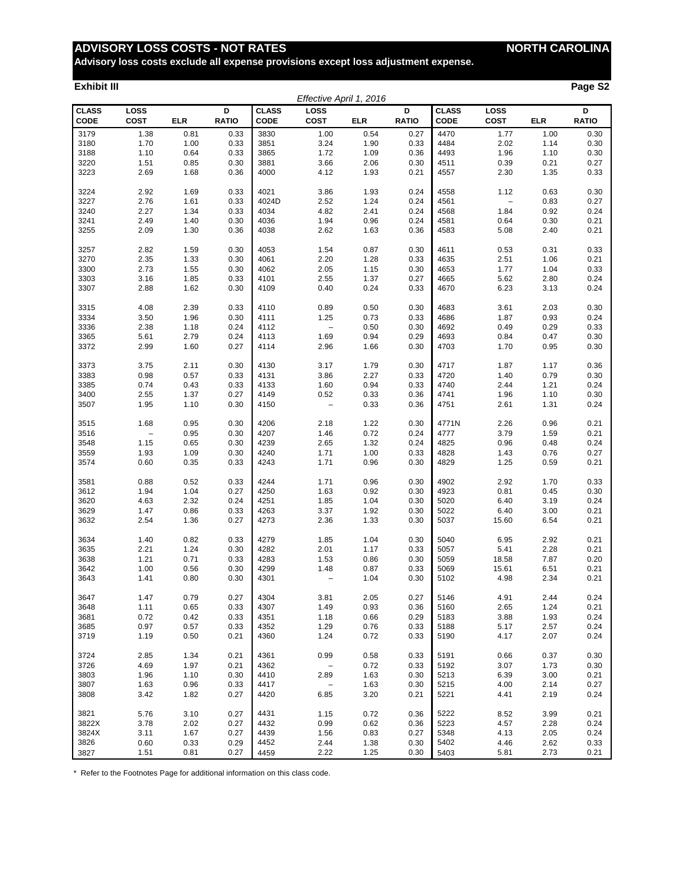# **ADVISORY LOSS COSTS - NOT RATES MORTH CAROLINA**

**Advisory loss costs exclude all expense provisions except loss adjustment expense.**

#### **Exhibit III Page S2**

|                             |                |            |                   |                      | Effective April 1, 2016  |            |                   |                      |                   |            |                   |
|-----------------------------|----------------|------------|-------------------|----------------------|--------------------------|------------|-------------------|----------------------|-------------------|------------|-------------------|
| <b>CLASS</b><br><b>CODE</b> | LOSS<br>COST   | <b>ELR</b> | D<br><b>RATIO</b> | <b>CLASS</b><br>CODE | LOSS<br><b>COST</b>      | <b>ELR</b> | D<br><b>RATIO</b> | <b>CLASS</b><br>CODE | LOSS<br>COST      | <b>ELR</b> | D<br><b>RATIO</b> |
| 3179                        | 1.38           | 0.81       | 0.33              | 3830                 | 1.00                     | 0.54       | 0.27              | 4470                 | 1.77              | 1.00       | 0.30              |
| 3180                        | 1.70           | 1.00       | 0.33              | 3851                 | 3.24                     | 1.90       | 0.33              | 4484                 | 2.02              | 1.14       | 0.30              |
| 3188                        | 1.10           | 0.64       | 0.33              | 3865                 | 1.72                     | 1.09       | 0.36              | 4493                 | 1.96              | 1.10       | 0.30              |
| 3220                        | 1.51           | 0.85       | 0.30              | 3881                 | 3.66                     | 2.06       | 0.30              | 4511                 | 0.39              | 0.21       | 0.27              |
| 3223                        | 2.69           | 1.68       | 0.36              | 4000                 | 4.12                     | 1.93       | 0.21              | 4557                 | 2.30              | 1.35       | 0.33              |
| 3224                        | 2.92           | 1.69       | 0.33              | 4021                 | 3.86                     | 1.93       | 0.24              | 4558                 | 1.12              | 0.63       | 0.30              |
| 3227                        | 2.76           | 1.61       | 0.33              | 4024D                | 2.52                     | 1.24       | 0.24              | 4561                 | $\qquad \qquad -$ | 0.83       | 0.27              |
| 3240                        | 2.27           | 1.34       | 0.33              | 4034                 | 4.82                     | 2.41       | 0.24              | 4568                 | 1.84              | 0.92       | 0.24              |
| 3241                        | 2.49           | 1.40       | 0.30              | 4036                 | 1.94                     | 0.96       | 0.24              | 4581                 | 0.64              | 0.30       | 0.21              |
| 3255                        | 2.09           | 1.30       | 0.36              | 4038                 | 2.62                     | 1.63       | 0.36              | 4583                 | 5.08              | 2.40       | 0.21              |
| 3257                        | 2.82           | 1.59       | 0.30              | 4053                 | 1.54                     | 0.87       | 0.30              | 4611                 | 0.53              | 0.31       | 0.33              |
| 3270                        | 2.35           | 1.33       | 0.30              | 4061                 | 2.20                     | 1.28       | 0.33              | 4635                 | 2.51              | 1.06       | 0.21              |
| 3300                        | 2.73           | 1.55       | 0.30              | 4062                 | 2.05                     | 1.15       | 0.30              | 4653                 | 1.77              | 1.04       | 0.33              |
| 3303                        | 3.16           | 1.85       | 0.33              | 4101                 | 2.55                     | 1.37       | 0.27              | 4665                 | 5.62              | 2.80       | 0.24              |
| 3307                        | 2.88           | 1.62       | 0.30              | 4109                 | 0.40                     | 0.24       | 0.33              | 4670                 | 6.23              | 3.13       | 0.24              |
| 3315                        | 4.08           | 2.39       | 0.33              | 4110                 | 0.89                     | 0.50       | 0.30              | 4683                 | 3.61              | 2.03       | 0.30              |
| 3334                        | 3.50           | 1.96       | 0.30              | 4111                 | 1.25                     | 0.73       | 0.33              | 4686                 | 1.87              | 0.93       | 0.24              |
| 3336                        | 2.38           | 1.18       | 0.24              | 4112                 | $\overline{\phantom{0}}$ | 0.50       | 0.30              | 4692                 | 0.49              | 0.29       | 0.33              |
| 3365                        | 5.61           | 2.79       | 0.24              | 4113                 | 1.69                     | 0.94       | 0.29              | 4693                 | 0.84              | 0.47       | 0.30              |
| 3372                        | 2.99           | 1.60       | 0.27              | 4114                 | 2.96                     | 1.66       | 0.30              | 4703                 | 1.70              | 0.95       | 0.30              |
| 3373                        | 3.75           | 2.11       | 0.30              | 4130                 | 3.17                     | 1.79       | 0.30              | 4717                 | 1.87              | 1.17       | 0.36              |
| 3383                        | 0.98           | 0.57       | 0.33              | 4131                 | 3.86                     | 2.27       | 0.33              | 4720                 | 1.40              | 0.79       | 0.30              |
| 3385                        | 0.74           | 0.43       | 0.33              | 4133                 | 1.60                     | 0.94       | 0.33              | 4740                 | 2.44              | 1.21       | 0.24              |
| 3400                        | 2.55           | 1.37       | 0.27              | 4149                 | 0.52                     | 0.33       | 0.36              | 4741                 | 1.96              | 1.10       | 0.30              |
| 3507                        | 1.95           | 1.10       | 0.30              | 4150                 | $\overline{a}$           | 0.33       | 0.36              | 4751                 | 2.61              | 1.31       | 0.24              |
|                             |                |            |                   |                      |                          |            |                   |                      |                   |            |                   |
| 3515                        | 1.68           | 0.95       | 0.30              | 4206                 | 2.18                     | 1.22       | 0.30              | 4771N                | 2.26              | 0.96       | 0.21              |
| 3516                        | $\overline{a}$ | 0.95       | 0.30              | 4207                 | 1.46                     | 0.72       | 0.24              | 4777                 | 3.79              | 1.59       | 0.21              |
| 3548                        | 1.15           | 0.65       | 0.30              | 4239                 | 2.65                     | 1.32       | 0.24              | 4825                 | 0.96              | 0.48       | 0.24              |
| 3559                        | 1.93           | 1.09       | 0.30              | 4240                 | 1.71                     | 1.00       | 0.33              | 4828                 | 1.43              | 0.76       | 0.27              |
| 3574                        | 0.60           | 0.35       | 0.33              | 4243                 | 1.71                     | 0.96       | 0.30              | 4829                 | 1.25              | 0.59       | 0.21              |
| 3581                        | 0.88           | 0.52       | 0.33              | 4244                 | 1.71                     | 0.96       | 0.30              | 4902                 | 2.92              | 1.70       | 0.33              |
| 3612                        | 1.94           | 1.04       | 0.27              | 4250                 | 1.63                     | 0.92       | 0.30              | 4923                 | 0.81              | 0.45       | 0.30              |
| 3620                        | 4.63           | 2.32       | 0.24              | 4251                 | 1.85                     | 1.04       | 0.30              | 5020                 | 6.40              | 3.19       | 0.24              |
| 3629                        | 1.47           | 0.86       | 0.33              | 4263                 | 3.37                     | 1.92       | 0.30              | 5022                 | 6.40              | 3.00       | 0.21              |
| 3632                        | 2.54           | 1.36       | 0.27              | 4273                 | 2.36                     | 1.33       | 0.30              | 5037                 | 15.60             | 6.54       | 0.21              |
| 3634                        | 1.40           | 0.82       | 0.33              | 4279                 | 1.85                     | 1.04       | 0.30              | 5040                 | 6.95              | 2.92       | 0.21              |
| 3635                        | 2.21           | 1.24       | 0.30              | 4282                 | 2.01                     | 1.17       | 0.33              | 5057                 | 5.41              | 2.28       | 0.21              |
| 3638                        | 1.21           | 0.71       | 0.33              | 4283                 | 1.53                     | 0.86       | 0.30              | 5059                 | 18.58             | 7.87       | 0.20              |
| 3642                        | 1.00           | 0.56       | 0.30              | 4299                 | 1.48                     | 0.87       | 0.33              | 5069                 | 15.61             | 6.51       | 0.21              |
| 3643                        | 1.41           | 0.80       | 0.30              | 4301                 | $\overline{a}$           | 1.04       | 0.30              | 5102                 | 4.98              | 2.34       | 0.21              |
| 3647                        | 1.47           | 0.79       | 0.27              | 4304                 | 3.81                     | 2.05       | 0.27              | 5146                 | 4.91              | 2.44       | 0.24              |
| 3648                        | 1.11           | 0.65       | 0.33              | 4307                 | 1.49                     | 0.93       | 0.36              | 5160                 | 2.65              | 1.24       | 0.21              |
| 3681                        | 0.72           | 0.42       | 0.33              | 4351                 | 1.18                     | 0.66       | 0.29              | 5183                 | 3.88              | 1.93       | 0.24              |
| 3685                        | 0.97           | 0.57       | 0.33              | 4352                 | 1.29                     | 0.76       | 0.33              | 5188                 | 5.17              | 2.57       | 0.24              |
| 3719                        | 1.19           | 0.50       | 0.21              | 4360                 | 1.24                     | 0.72       | 0.33              | 5190                 | 4.17              | 2.07       | 0.24              |
| 3724                        | 2.85           | 1.34       | 0.21              | 4361                 | 0.99                     | 0.58       | 0.33              | 5191                 | 0.66              | 0.37       | 0.30              |
| 3726                        | 4.69           | 1.97       | 0.21              | 4362                 | $\overline{\phantom{0}}$ | 0.72       | 0.33              | 5192                 | 3.07              | 1.73       | 0.30              |
| 3803                        | 1.96           | 1.10       | 0.30              | 4410                 | 2.89                     | 1.63       | 0.30              | 5213                 | 6.39              | 3.00       | 0.21              |
| 3807                        | 1.63           | 0.96       | 0.33              | 4417                 | $\qquad \qquad -$        | 1.63       | 0.30              | 5215                 | 4.00              | 2.14       | 0.27              |
| 3808                        | 3.42           | 1.82       | 0.27              | 4420                 | 6.85                     | 3.20       | 0.21              | 5221                 | 4.41              | 2.19       | 0.24              |
| 3821                        | 5.76           | 3.10       | 0.27              | 4431                 | 1.15                     | 0.72       | 0.36              | 5222                 | 8.52              | 3.99       | 0.21              |
| 3822X                       | 3.78           | 2.02       | 0.27              | 4432                 | 0.99                     | 0.62       | 0.36              | 5223                 | 4.57              | 2.28       | 0.24              |
| 3824X                       | 3.11           | 1.67       | 0.27              | 4439                 | 1.56                     | 0.83       | 0.27              | 5348                 | 4.13              | 2.05       | 0.24              |
| 3826                        | 0.60           | 0.33       | 0.29              | 4452                 | 2.44                     | 1.38       | 0.30              | 5402                 | 4.46              | 2.62       | 0.33              |
| 3827                        | 1.51           | 0.81       | 0.27              | 4459                 | 2.22                     | 1.25       | 0.30              | 5403                 | 5.81              | 2.73       | 0.21              |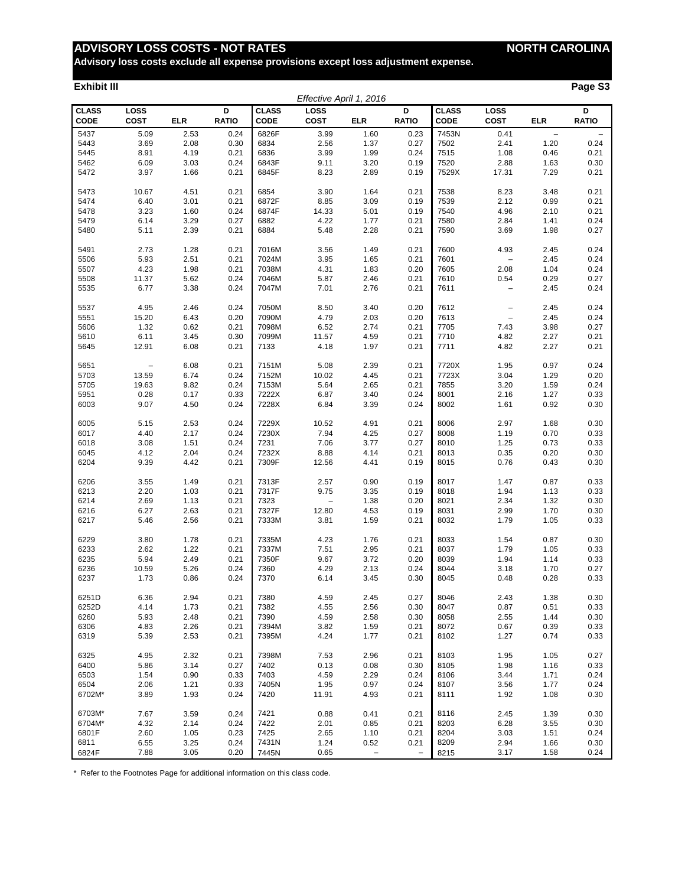# **ADVISORY LOSS COSTS - NOT RATES NORTH CAROLINA**

**Advisory loss costs exclude all expense provisions except loss adjustment expense.**

#### **Exhibit III Page S3**

| Effective April 1, 2016     |                          |            |                   |                      |                          |                   |                   |                             |                            |                          |                          |
|-----------------------------|--------------------------|------------|-------------------|----------------------|--------------------------|-------------------|-------------------|-----------------------------|----------------------------|--------------------------|--------------------------|
| <b>CLASS</b><br><b>CODE</b> | LOSS<br><b>COST</b>      | <b>ELR</b> | D<br><b>RATIO</b> | <b>CLASS</b><br>CODE | LOSS<br><b>COST</b>      | <b>ELR</b>        | D<br><b>RATIO</b> | <b>CLASS</b><br><b>CODE</b> | <b>LOSS</b><br><b>COST</b> | <b>ELR</b>               | D<br><b>RATIO</b>        |
| 5437                        | 5.09                     | 2.53       | 0.24              | 6826F                | 3.99                     | 1.60              | 0.23              | 7453N                       | 0.41                       | $\overline{\phantom{0}}$ | $\overline{\phantom{0}}$ |
| 5443                        | 3.69                     | 2.08       | 0.30              | 6834                 | 2.56                     | 1.37              | 0.27              | 7502                        | 2.41                       | 1.20                     | 0.24                     |
| 5445                        | 8.91                     | 4.19       | 0.21              | 6836                 | 3.99                     | 1.99              | 0.24              | 7515                        | 1.08                       | 0.46                     | 0.21                     |
| 5462                        | 6.09                     | 3.03       | 0.24              | 6843F                | 9.11                     | 3.20              | 0.19              | 7520                        | 2.88                       | 1.63                     | 0.30                     |
| 5472                        | 3.97                     | 1.66       | 0.21              | 6845F                | 8.23                     | 2.89              | 0.19              | 7529X                       | 17.31                      | 7.29                     | 0.21                     |
| 5473                        | 10.67                    | 4.51       | 0.21              | 6854                 | 3.90                     | 1.64              | 0.21              | 7538                        | 8.23                       | 3.48                     | 0.21                     |
| 5474                        | 6.40                     | 3.01       | 0.21              | 6872F                | 8.85                     | 3.09              | 0.19              | 7539                        | 2.12                       | 0.99                     | 0.21                     |
| 5478                        | 3.23                     | 1.60       | 0.24              | 6874F                | 14.33                    | 5.01              | 0.19              | 7540                        | 4.96                       | 2.10                     | 0.21                     |
| 5479                        | 6.14                     | 3.29       | 0.27              | 6882                 | 4.22                     | 1.77              | 0.21              | 7580                        | 2.84                       | 1.41                     | 0.24                     |
| 5480                        | 5.11                     | 2.39       | 0.21              | 6884                 | 5.48                     | 2.28              | 0.21              | 7590                        | 3.69                       | 1.98                     | 0.27                     |
| 5491                        | 2.73                     | 1.28       | 0.21              | 7016M                | 3.56                     | 1.49              | 0.21              | 7600                        | 4.93                       | 2.45                     | 0.24                     |
| 5506                        | 5.93                     | 2.51       | 0.21              | 7024M                | 3.95                     | 1.65              | 0.21              | 7601                        | $\qquad \qquad -$          | 2.45                     | 0.24                     |
| 5507                        | 4.23                     | 1.98       | 0.21              | 7038M                | 4.31                     | 1.83              | 0.20              | 7605                        | 2.08                       | 1.04                     | 0.24                     |
| 5508                        | 11.37                    | 5.62       | 0.24              | 7046M                | 5.87                     | 2.46              | 0.21              | 7610                        | 0.54                       | 0.29                     | 0.27                     |
| 5535                        | 6.77                     | 3.38       | 0.24              | 7047M                | 7.01                     | 2.76              | 0.21              | 7611                        | $\qquad \qquad -$          | 2.45                     | 0.24                     |
| 5537                        | 4.95                     | 2.46       | 0.24              | 7050M                | 8.50                     | 3.40              | 0.20              | 7612                        | -                          | 2.45                     | 0.24                     |
| 5551                        | 15.20                    | 6.43       | 0.20              | 7090M                | 4.79                     | 2.03              | 0.20              | 7613                        | $\qquad \qquad -$          | 2.45                     | 0.24                     |
| 5606                        | 1.32                     | 0.62       | 0.21              | 7098M                | 6.52                     | 2.74              | 0.21              | 7705                        | 7.43                       | 3.98                     | 0.27                     |
| 5610                        | 6.11                     | 3.45       | 0.30              | 7099M                | 11.57                    | 4.59              | 0.21              | 7710                        | 4.82                       | 2.27                     | 0.21                     |
| 5645                        | 12.91                    | 6.08       | 0.21              | 7133                 | 4.18                     | 1.97              | 0.21              | 7711                        | 4.82                       | 2.27                     | 0.21                     |
| 5651                        | $\overline{\phantom{a}}$ | 6.08       | 0.21              | 7151M                | 5.08                     | 2.39              | 0.21              | 7720X                       | 1.95                       | 0.97                     | 0.24                     |
| 5703                        | 13.59                    | 6.74       | 0.24              | 7152M                | 10.02                    | 4.45              | 0.21              | 7723X                       | 3.04                       | 1.29                     | 0.20                     |
| 5705                        | 19.63                    | 9.82       | 0.24              | 7153M                | 5.64                     | 2.65              | 0.21              | 7855                        | 3.20                       | 1.59                     | 0.24                     |
| 5951                        | 0.28                     | 0.17       | 0.33              | 7222X                | 6.87                     | 3.40              | 0.24              | 8001                        | 2.16                       | 1.27                     | 0.33                     |
| 6003                        | 9.07                     | 4.50       | 0.24              | 7228X                | 6.84                     | 3.39              | 0.24              | 8002                        | 1.61                       | 0.92                     | 0.30                     |
| 6005                        | 5.15                     | 2.53       | 0.24              | 7229X                | 10.52                    | 4.91              | 0.21              | 8006                        | 2.97                       | 1.68                     | 0.30                     |
| 6017                        | 4.40                     | 2.17       | 0.24              | 7230X                | 7.94                     | 4.25              | 0.27              | 8008                        | 1.19                       | 0.70                     | 0.33                     |
| 6018                        | 3.08                     | 1.51       | 0.24              | 7231                 | 7.06                     | 3.77              | 0.27              | 8010                        | 1.25                       | 0.73                     | 0.33                     |
| 6045                        | 4.12                     | 2.04       | 0.24              | 7232X                | 8.88                     | 4.14              | 0.21              | 8013                        | 0.35                       | 0.20                     | 0.30                     |
| 6204                        | 9.39                     | 4.42       | 0.21              | 7309F                | 12.56                    | 4.41              | 0.19              | 8015                        | 0.76                       | 0.43                     | 0.30                     |
| 6206                        | 3.55                     | 1.49       | 0.21              | 7313F                | 2.57                     | 0.90              | 0.19              | 8017                        | 1.47                       | 0.87                     | 0.33                     |
| 6213                        | 2.20                     | 1.03       | 0.21              | 7317F                | 9.75                     | 3.35              | 0.19              | 8018                        | 1.94                       | 1.13                     | 0.33                     |
| 6214                        | 2.69                     | 1.13       | 0.21              | 7323                 | $\overline{\phantom{a}}$ | 1.38              | 0.20              | 8021                        | 2.34                       | 1.32                     | 0.30                     |
| 6216                        | 6.27                     | 2.63       | 0.21              | 7327F                | 12.80                    | 4.53              | 0.19              | 8031                        | 2.99                       | 1.70                     | 0.30                     |
| 6217                        | 5.46                     | 2.56       | 0.21              | 7333M                | 3.81                     | 1.59              | 0.21              | 8032                        | 1.79                       | 1.05                     | 0.33                     |
| 6229                        | 3.80                     | 1.78       | 0.21              | 7335M                | 4.23                     | 1.76              | 0.21              | 8033                        | 1.54                       | 0.87                     | 0.30                     |
| 6233                        | 2.62                     | 1.22       | 0.21              | 7337M                | 7.51                     | 2.95              | 0.21              | 8037                        | 1.79                       | 1.05                     | 0.33                     |
| 6235                        | 5.94                     | 2.49       | 0.21              | 7350F                | 9.67                     | 3.72              | 0.20              | 8039                        | 1.94                       | 1.14                     | 0.33                     |
| 6236                        | 10.59                    | 5.26       | 0.24              | 7360                 | 4.29                     | 2.13              | 0.24              | 8044                        | 3.18                       | 1.70                     | 0.27                     |
| 6237                        | 1.73                     | 0.86       | 0.24              | 7370                 | 6.14                     | 3.45              | 0.30              | 8045                        | 0.48                       | 0.28                     | 0.33                     |
| 6251D                       | 6.36                     | 2.94       | 0.21              | 7380                 | 4.59                     | 2.45              | 0.27              | 8046                        | 2.43                       | 1.38                     | 0.30                     |
| 6252D                       | 4.14                     | 1.73       | 0.21              | 7382                 | 4.55                     | 2.56              | 0.30              | 8047                        | 0.87                       | 0.51                     | 0.33                     |
| 6260                        | 5.93                     | 2.48       | 0.21              | 7390                 | 4.59                     | 2.58              | 0.30              | 8058                        | 2.55                       | 1.44                     | 0.30                     |
| 6306                        | 4.83                     | 2.26       | 0.21              | 7394M                | 3.82                     | 1.59              | 0.21              | 8072                        | 0.67                       | 0.39                     | 0.33                     |
| 6319                        | 5.39                     | 2.53       | 0.21              | 7395M                | 4.24                     | 1.77              | 0.21              | 8102                        | 1.27                       | 0.74                     | 0.33                     |
| 6325                        | 4.95                     | 2.32       | 0.21              | 7398M                | 7.53                     | 2.96              | 0.21              | 8103                        | 1.95                       | 1.05                     | 0.27                     |
| 6400                        | 5.86                     | 3.14       | 0.27              | 7402                 | 0.13                     | 0.08              | 0.30              | 8105                        | 1.98                       | 1.16                     | 0.33                     |
| 6503                        | 1.54                     | 0.90       | 0.33              | 7403                 | 4.59                     | 2.29              | 0.24              | 8106                        | 3.44                       | 1.71                     | 0.24                     |
| 6504                        | 2.06                     | 1.21       | 0.33              | 7405N                | 1.95                     | 0.97              | 0.24              | 8107                        | 3.56                       | 1.77                     | 0.24                     |
| 6702M*                      | 3.89                     | 1.93       | 0.24              | 7420                 | 11.91                    | 4.93              | 0.21              | 8111                        | 1.92                       | 1.08                     | 0.30                     |
| 6703M*                      | 7.67                     | 3.59       | 0.24              | 7421                 | 0.88                     | 0.41              | 0.21              | 8116                        | 2.45                       | 1.39                     | 0.30                     |
| 6704M*                      | 4.32                     | 2.14       | 0.24              | 7422                 | 2.01                     | 0.85              | 0.21              | 8203                        | 6.28                       | 3.55                     | 0.30                     |
| 6801F                       | 2.60                     | 1.05       | 0.23              | 7425                 | 2.65                     | 1.10              | 0.21              | 8204                        | 3.03                       | 1.51                     | 0.24                     |
| 6811                        | 6.55                     | 3.25       | 0.24              | 7431N                | 1.24                     | 0.52              | 0.21              | 8209                        | 2.94                       | 1.66                     | 0.30                     |
| 6824F                       | 7.88                     | 3.05       | 0.20              | 7445N                | 0.65                     | $\qquad \qquad -$ | $\qquad \qquad -$ | 8215                        | 3.17                       | 1.58                     | 0.24                     |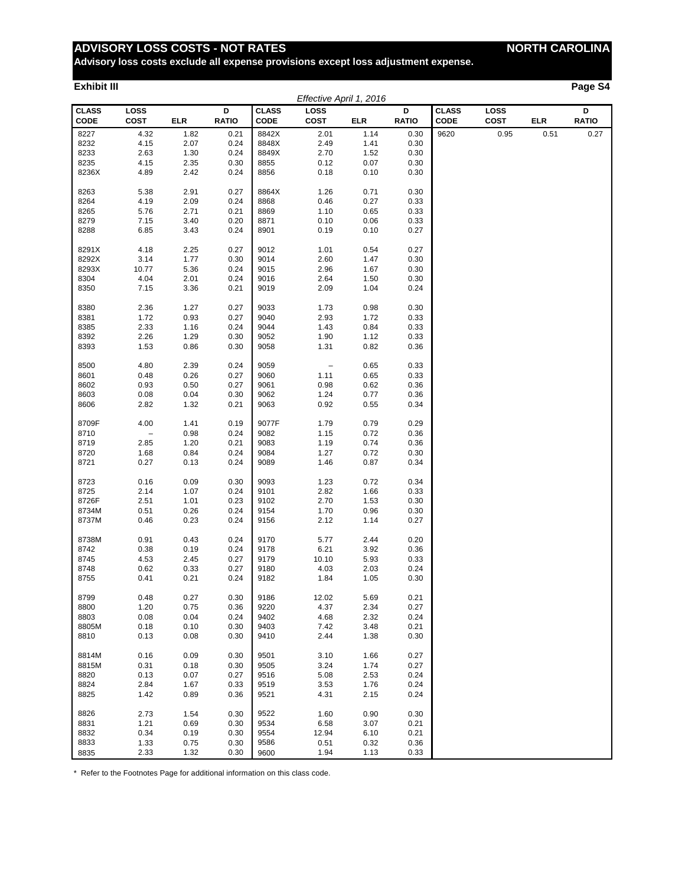# **ADVISORY LOSS COSTS - NOT RATES NORTH CAROLINA**

**Advisory loss costs exclude all expense provisions except loss adjustment expense.**

#### **Exhibit III Page S4**

|                             | Effective April 1, 2016 |              |                   |                      |                          |              |                   |                      |                     |            |                   |
|-----------------------------|-------------------------|--------------|-------------------|----------------------|--------------------------|--------------|-------------------|----------------------|---------------------|------------|-------------------|
| <b>CLASS</b><br><b>CODE</b> | LOSS<br><b>COST</b>     | <b>ELR</b>   | D<br><b>RATIO</b> | <b>CLASS</b><br>CODE | LOSS<br>COST             | ELR          | D<br><b>RATIO</b> | <b>CLASS</b><br>CODE | LOSS<br><b>COST</b> | <b>ELR</b> | D<br><b>RATIO</b> |
| 8227                        | 4.32                    | 1.82         | 0.21              | 8842X                | 2.01                     | 1.14         | 0.30              | 9620                 | 0.95                | 0.51       | 0.27              |
| 8232                        | 4.15                    | 2.07         | 0.24              | 8848X                | 2.49                     | 1.41         | 0.30              |                      |                     |            |                   |
| 8233                        | 2.63                    | 1.30         | 0.24              | 8849X                | 2.70                     | 1.52         | 0.30              |                      |                     |            |                   |
| 8235                        | 4.15                    | 2.35         | 0.30              | 8855                 | 0.12                     | 0.07         | 0.30              |                      |                     |            |                   |
| 8236X                       | 4.89                    | 2.42         | 0.24              | 8856                 | 0.18                     | 0.10         | 0.30              |                      |                     |            |                   |
| 8263                        | 5.38                    | 2.91         | 0.27              | 8864X                | 1.26                     | 0.71         | 0.30              |                      |                     |            |                   |
| 8264                        | 4.19                    | 2.09         | 0.24              | 8868                 | 0.46                     | 0.27         | 0.33              |                      |                     |            |                   |
| 8265                        | 5.76                    | 2.71         | 0.21              | 8869                 | 1.10                     | 0.65         | 0.33              |                      |                     |            |                   |
| 8279                        | 7.15                    | 3.40         | 0.20              | 8871                 | 0.10                     | 0.06         | 0.33              |                      |                     |            |                   |
| 8288                        | 6.85                    | 3.43         | 0.24              | 8901                 | 0.19                     | 0.10         | 0.27              |                      |                     |            |                   |
| 8291X                       | 4.18                    | 2.25         | 0.27              | 9012                 | 1.01                     | 0.54         | 0.27              |                      |                     |            |                   |
| 8292X                       | 3.14                    | 1.77         | 0.30              | 9014                 | 2.60                     | 1.47         | 0.30              |                      |                     |            |                   |
| 8293X                       | 10.77                   | 5.36         | 0.24              | 9015                 | 2.96                     | 1.67         | 0.30              |                      |                     |            |                   |
| 8304                        | 4.04                    | 2.01         | 0.24              | 9016                 | 2.64                     | 1.50         | 0.30              |                      |                     |            |                   |
| 8350                        | 7.15                    | 3.36         | 0.21              | 9019                 | 2.09                     | 1.04         | 0.24              |                      |                     |            |                   |
|                             |                         |              |                   |                      |                          |              |                   |                      |                     |            |                   |
| 8380                        | 2.36<br>1.72            | 1.27<br>0.93 | 0.27<br>0.27      | 9033<br>9040         | 1.73<br>2.93             | 0.98<br>1.72 | 0.30              |                      |                     |            |                   |
| 8381<br>8385                | 2.33                    | 1.16         | 0.24              | 9044                 | 1.43                     | 0.84         | 0.33<br>0.33      |                      |                     |            |                   |
| 8392                        | 2.26                    | 1.29         | 0.30              | 9052                 | 1.90                     | 1.12         | 0.33              |                      |                     |            |                   |
| 8393                        | 1.53                    | 0.86         | 0.30              | 9058                 | 1.31                     | 0.82         | 0.36              |                      |                     |            |                   |
|                             |                         |              |                   |                      |                          |              |                   |                      |                     |            |                   |
| 8500                        | 4.80                    | 2.39         | 0.24              | 9059                 | $\overline{\phantom{a}}$ | 0.65         | 0.33              |                      |                     |            |                   |
| 8601                        | 0.48                    | 0.26         | 0.27              | 9060                 | 1.11                     | 0.65         | 0.33              |                      |                     |            |                   |
| 8602                        | 0.93                    | 0.50         | 0.27              | 9061                 | 0.98                     | 0.62         | 0.36              |                      |                     |            |                   |
| 8603                        | 0.08                    | 0.04         | 0.30              | 9062                 | 1.24                     | 0.77         | 0.36              |                      |                     |            |                   |
| 8606                        | 2.82                    | 1.32         | 0.21              | 9063                 | 0.92                     | 0.55         | 0.34              |                      |                     |            |                   |
| 8709F                       | 4.00                    | 1.41         | 0.19              | 9077F                | 1.79                     | 0.79         | 0.29              |                      |                     |            |                   |
| 8710                        | $\qquad \qquad -$       | 0.98         | 0.24              | 9082                 | 1.15                     | 0.72         | 0.36              |                      |                     |            |                   |
| 8719                        | 2.85                    | 1.20         | 0.21              | 9083                 | 1.19                     | 0.74         | 0.36              |                      |                     |            |                   |
| 8720                        | 1.68                    | 0.84         | 0.24              | 9084                 | 1.27                     | 0.72         | 0.30              |                      |                     |            |                   |
| 8721                        | 0.27                    | 0.13         | 0.24              | 9089                 | 1.46                     | 0.87         | 0.34              |                      |                     |            |                   |
| 8723                        | 0.16                    | 0.09         | 0.30              | 9093                 | 1.23                     | 0.72         | 0.34              |                      |                     |            |                   |
| 8725                        | 2.14                    | 1.07         | 0.24              | 9101                 | 2.82                     | 1.66         | 0.33              |                      |                     |            |                   |
| 8726F                       | 2.51                    | 1.01         | 0.23              | 9102                 | 2.70                     | 1.53         | 0.30              |                      |                     |            |                   |
| 8734M                       | 0.51                    | 0.26         | 0.24              | 9154                 | 1.70                     | 0.96         | 0.30              |                      |                     |            |                   |
| 8737M                       | 0.46                    | 0.23         | 0.24              | 9156                 | 2.12                     | 1.14         | 0.27              |                      |                     |            |                   |
| 8738M                       | 0.91                    | 0.43         | 0.24              | 9170                 | 5.77                     | 2.44         | 0.20              |                      |                     |            |                   |
| 8742                        | 0.38                    | 0.19         | 0.24              | 9178                 | 6.21                     | 3.92         | 0.36              |                      |                     |            |                   |
| 8745                        | 4.53                    | 2.45         | 0.27              | 9179                 | 10.10                    | 5.93         | 0.33              |                      |                     |            |                   |
| 8748                        | 0.62                    | 0.33         | 0.27              | 9180                 | 4.03                     | 2.03         | 0.24              |                      |                     |            |                   |
| 8755                        | 0.41                    | 0.21         | 0.24              | 9182                 | 1.84                     | 1.05         | 0.30              |                      |                     |            |                   |
| 8799                        | 0.48                    | 0.27         | 0.30              | 9186                 | 12.02                    | 5.69         | 0.21              |                      |                     |            |                   |
| 8800                        | 1.20                    | 0.75         | 0.36              | 9220                 | 4.37                     | 2.34         | 0.27              |                      |                     |            |                   |
| 8803                        | 0.08                    | 0.04         | 0.24              | 9402                 | 4.68                     | 2.32         | 0.24              |                      |                     |            |                   |
| 8805M                       | 0.18                    | 0.10         | 0.30              | 9403                 | 7.42                     | 3.48         | 0.21              |                      |                     |            |                   |
| 8810                        | 0.13                    | 0.08         | 0.30              | 9410                 | 2.44                     | 1.38         | 0.30              |                      |                     |            |                   |
| 8814M                       | 0.16                    | 0.09         | 0.30              | 9501                 | 3.10                     | 1.66         | 0.27              |                      |                     |            |                   |
| 8815M                       | 0.31                    | 0.18         | 0.30              | 9505                 | 3.24                     | 1.74         | 0.27              |                      |                     |            |                   |
| 8820                        | 0.13                    | 0.07         | 0.27              | 9516                 | 5.08                     | 2.53         | 0.24              |                      |                     |            |                   |
| 8824                        | 2.84                    | 1.67         | 0.33              | 9519                 | 3.53                     | 1.76         | 0.24              |                      |                     |            |                   |
| 8825                        | 1.42                    | 0.89         | 0.36              | 9521                 | 4.31                     | 2.15         | 0.24              |                      |                     |            |                   |
|                             |                         |              |                   |                      |                          |              |                   |                      |                     |            |                   |
| 8826                        | 2.73                    | 1.54         | 0.30              | 9522                 | 1.60                     | 0.90         | 0.30              |                      |                     |            |                   |
| 8831<br>8832                | 1.21<br>0.34            | 0.69<br>0.19 | 0.30<br>0.30      | 9534<br>9554         | 6.58<br>12.94            | 3.07<br>6.10 | 0.21<br>0.21      |                      |                     |            |                   |
| 8833                        | 1.33                    | 0.75         | 0.30              | 9586                 | 0.51                     | 0.32         | 0.36              |                      |                     |            |                   |
| 8835                        | 2.33                    | 1.32         | 0.30              | 9600                 | 1.94                     | 1.13         | 0.33              |                      |                     |            |                   |
|                             |                         |              |                   |                      |                          |              |                   |                      |                     |            |                   |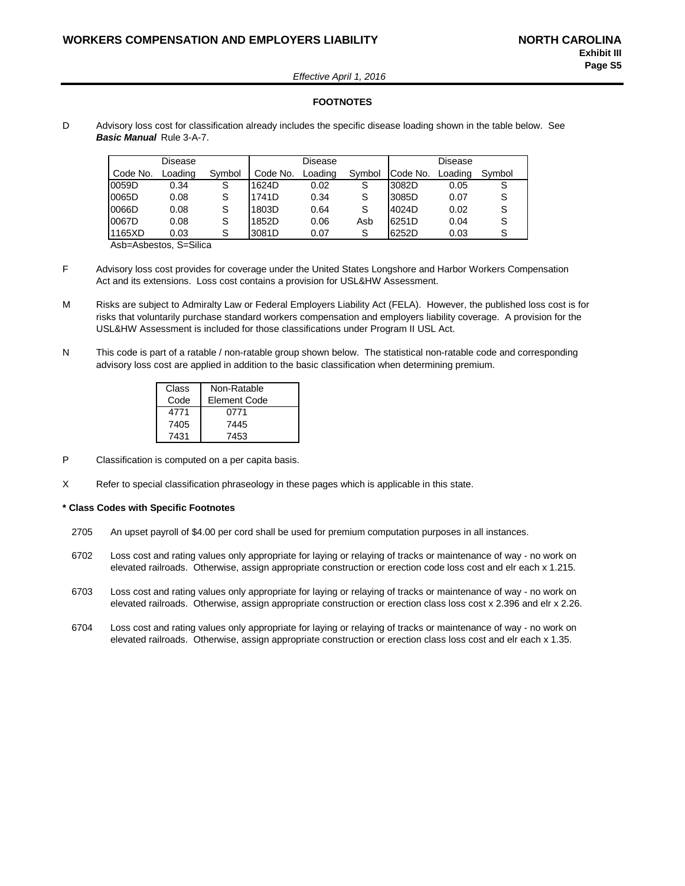*Effective April 1, 2016*

#### **FOOTNOTES**

D Advisory loss cost for classification already includes the specific disease loading shown in the table below. See *Basic Manual* Rule 3-A-7.

|          | Disease |        |          | Disease |        | Disease  |         |        |  |
|----------|---------|--------|----------|---------|--------|----------|---------|--------|--|
| Code No. | Loading | Symbol | Code No. | Loading | Symbol | Code No. | Loading | Symbol |  |
| 0059D    | 0.34    | S      | 1624D    | 0.02    | S      | 3082D    | 0.05    | S      |  |
| 0065D    | 0.08    |        | 1741D    | 0.34    |        | 3085D    | 0.07    | S      |  |
| 0066D    | 0.08    |        | 1803D    | 0.64    |        | 4024D    | 0.02    | S      |  |
| 0067D    | 0.08    |        | 1852D    | 0.06    | Asb    | 6251D    | 0.04    | S      |  |
| 1165XD   | 0.03    | S      | 3081D    | 0.07    |        | 6252D    | 0.03    | S      |  |

Asb=Asbestos, S=Silica

- F Advisory loss cost provides for coverage under the United States Longshore and Harbor Workers Compensation Act and its extensions. Loss cost contains a provision for USL&HW Assessment.
- M Risks are subject to Admiralty Law or Federal Employers Liability Act (FELA). However, the published loss cost is for risks that voluntarily purchase standard workers compensation and employers liability coverage. A provision for the USL&HW Assessment is included for those classifications under Program II USL Act.
- N This code is part of a ratable / non-ratable group shown below. The statistical non-ratable code and corresponding advisory loss cost are applied in addition to the basic classification when determining premium.

| Class | Non-Ratable  |
|-------|--------------|
| Code  | Element Code |
| 4771  | 0771         |
| 7405  | 7445         |
| 7431  | 7453         |

- P Classification is computed on a per capita basis.
- X Refer to special classification phraseology in these pages which is applicable in this state.

#### **\* Class Codes with Specific Footnotes**

- 2705 An upset payroll of \$4.00 per cord shall be used for premium computation purposes in all instances.
- 6702 Loss cost and rating values only appropriate for laying or relaying of tracks or maintenance of way no work on elevated railroads. Otherwise, assign appropriate construction or erection code loss cost and elr each x 1.215.
- 6703 Loss cost and rating values only appropriate for laying or relaying of tracks or maintenance of way no work on elevated railroads. Otherwise, assign appropriate construction or erection class loss cost x 2.396 and elr x 2.26.
- 6704 Loss cost and rating values only appropriate for laying or relaying of tracks or maintenance of way no work on elevated railroads. Otherwise, assign appropriate construction or erection class loss cost and elr each x 1.35.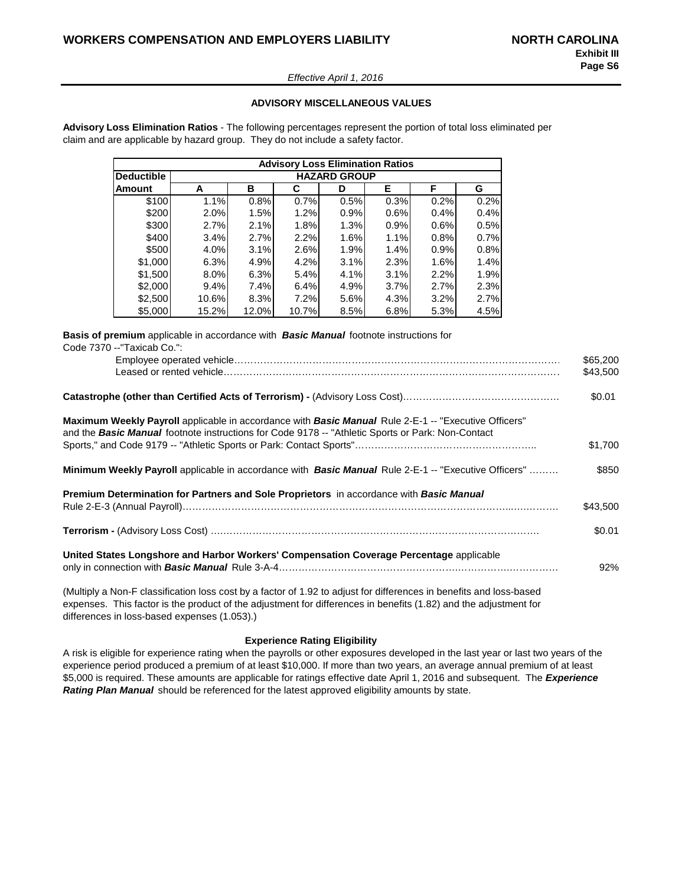#### *Effective April 1, 2016*

#### **ADVISORY MISCELLANEOUS VALUES**

**Advisory Loss Elimination Ratios** - The following percentages represent the portion of total loss eliminated per claim and are applicable by hazard group. They do not include a safety factor.

|                   | <b>Advisory Loss Elimination Ratios</b> |                     |       |      |      |      |      |  |  |  |  |  |  |
|-------------------|-----------------------------------------|---------------------|-------|------|------|------|------|--|--|--|--|--|--|
| <b>Deductible</b> |                                         | <b>HAZARD GROUP</b> |       |      |      |      |      |  |  |  |  |  |  |
| Amount            | A                                       | в                   | C     | D    | E.   | F    | G    |  |  |  |  |  |  |
| \$100             | 1.1%                                    | 0.8%                | 0.7%  | 0.5% | 0.3% | 0.2% | 0.2% |  |  |  |  |  |  |
| \$200             | 2.0%                                    | 1.5%                | 1.2%  | 0.9% | 0.6% | 0.4% | 0.4% |  |  |  |  |  |  |
| \$300             | 2.7%                                    | 2.1%                | 1.8%  | 1.3% | 0.9% | 0.6% | 0.5% |  |  |  |  |  |  |
| \$400             | 3.4%                                    | 2.7%                | 2.2%  | 1.6% | 1.1% | 0.8% | 0.7% |  |  |  |  |  |  |
| \$500             | 4.0%                                    | 3.1%                | 2.6%  | 1.9% | 1.4% | 0.9% | 0.8% |  |  |  |  |  |  |
| \$1,000           | 6.3%                                    | 4.9%                | 4.2%  | 3.1% | 2.3% | 1.6% | 1.4% |  |  |  |  |  |  |
| \$1,500           | 8.0%                                    | 6.3%                | 5.4%  | 4.1% | 3.1% | 2.2% | 1.9% |  |  |  |  |  |  |
| \$2,000           | 9.4%                                    | 7.4%                | 6.4%  | 4.9% | 3.7% | 2.7% | 2.3% |  |  |  |  |  |  |
| \$2,500           | 10.6%                                   | 8.3%                | 7.2%  | 5.6% | 4.3% | 3.2% | 2.7% |  |  |  |  |  |  |
| \$5,000           | 15.2%                                   | 12.0%l              | 10.7% | 8.5% | 6.8% | 5.3% | 4.5% |  |  |  |  |  |  |

**Basis of premium** applicable in accordance with *Basic Manual* footnote instructions for Code 7370 --"Taxicab Co.":

|                                                                                                                                                                                                                  | \$65,200<br>\$43,500 |
|------------------------------------------------------------------------------------------------------------------------------------------------------------------------------------------------------------------|----------------------|
|                                                                                                                                                                                                                  | \$0.01               |
| Maximum Weekly Payroll applicable in accordance with <b>Basic Manual</b> Rule 2-E-1 -- "Executive Officers"<br>and the Basic Manual footnote instructions for Code 9178 -- "Athletic Sports or Park: Non-Contact |                      |
|                                                                                                                                                                                                                  | \$1,700              |
| <b>Minimum Weekly Payroll</b> applicable in accordance with <b>Basic Manual</b> Rule 2-E-1 -- "Executive Officers"                                                                                               | \$850                |
| <b>Premium Determination for Partners and Sole Proprietors</b> in accordance with <b>Basic Manual</b>                                                                                                            | \$43,500             |
|                                                                                                                                                                                                                  | \$0.01               |
| United States Longshore and Harbor Workers' Compensation Coverage Percentage applicable                                                                                                                          | 92%                  |
| (Multiply a Non-F classification loss cost by a factor of 1.92 to adjust for differences in benefits and loss-based                                                                                              |                      |

expenses. This factor is the product of the adjustment for differences in benefits (1.82) and the adjustment for differences in loss-based expenses (1.053).)

#### **Experience Rating Eligibility**

A risk is eligible for experience rating when the payrolls or other exposures developed in the last year or last two years of the experience period produced a premium of at least \$10,000. If more than two years, an average annual premium of at least \$5,000 is required. These amounts are applicable for ratings effective date April 1, 2016 and subsequent. The *Experience Rating Plan Manual* should be referenced for the latest approved eligibility amounts by state.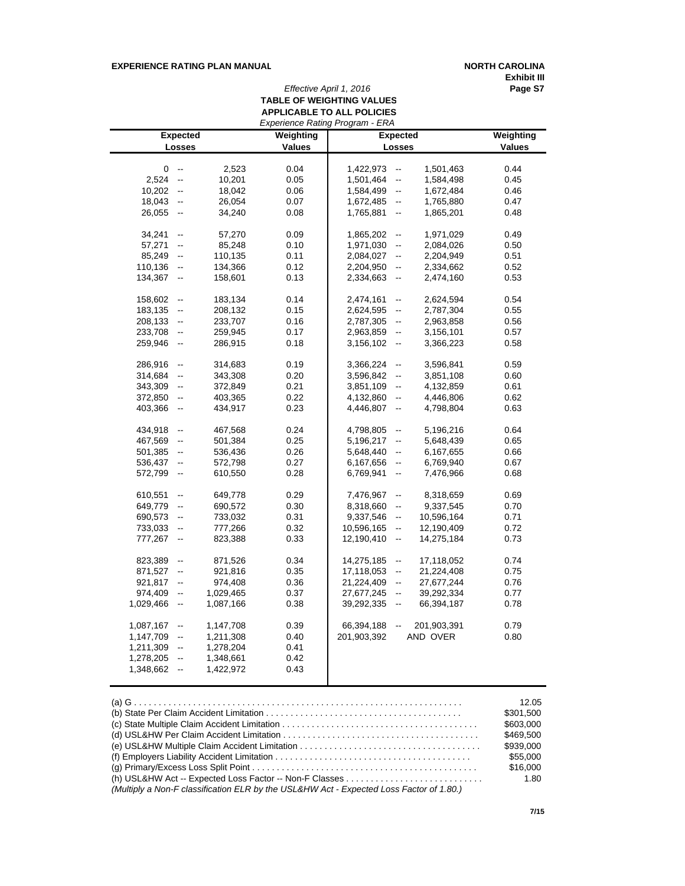#### **EXPERIENCE RATING PLAN MANUAL <b>NORTH CAROLINA**

**Exhibit III**

## *Effective April 1, 2016* **Page S7 TABLE OF WEIGHTING VALUES APPLICABLE TO ALL POLICIES**

|           |                          |           |               | Experience Rating Program - ERA        |                 |               |
|-----------|--------------------------|-----------|---------------|----------------------------------------|-----------------|---------------|
|           | <b>Expected</b>          |           | Weighting     |                                        | <b>Expected</b> | Weighting     |
|           | Losses                   |           | <b>Values</b> | Losses                                 |                 | <b>Values</b> |
|           |                          |           |               |                                        |                 |               |
| 0         | $\overline{\phantom{a}}$ | 2,523     | 0.04          | 1,422,973<br>$\overline{\phantom{a}}$  | 1,501,463       | 0.44          |
| 2,524     | $\overline{\phantom{a}}$ | 10,201    | 0.05          | 1,501,464<br>$\overline{\phantom{a}}$  | 1,584,498       | 0.45          |
| 10,202    | $\overline{\phantom{a}}$ | 18,042    | 0.06          | 1,584,499<br>$\overline{\phantom{a}}$  | 1,672,484       | 0.46          |
| 18,043    | $\overline{\phantom{a}}$ | 26,054    | 0.07          | 1,672,485<br>$\overline{\phantom{a}}$  | 1,765,880       | 0.47          |
| 26,055    | $\overline{\phantom{a}}$ | 34,240    | 0.08          | 1,765,881<br>$\overline{\phantom{a}}$  | 1,865,201       | 0.48          |
|           |                          |           |               |                                        |                 |               |
| 34,241    | $\overline{\phantom{a}}$ | 57,270    | 0.09          | 1,865,202<br>$\overline{\phantom{a}}$  | 1,971,029       | 0.49          |
| 57,271    | $\overline{a}$           | 85,248    | 0.10          | 1,971,030<br>$\overline{\phantom{a}}$  | 2,084,026       | 0.50          |
| 85,249    | $\overline{\phantom{a}}$ | 110,135   | 0.11          | 2,084,027<br>$\overline{\phantom{a}}$  | 2,204,949       | 0.51          |
| 110,136   | $\overline{\phantom{a}}$ | 134,366   | 0.12          | 2,204,950<br>$\overline{\phantom{a}}$  | 2,334,662       | 0.52          |
| 134,367   | $\overline{\phantom{a}}$ | 158,601   | 0.13          | 2,334,663<br>$\overline{\phantom{a}}$  | 2,474,160       | 0.53          |
|           |                          |           |               |                                        |                 |               |
| 158,602   | $\overline{\phantom{a}}$ | 183,134   | 0.14          | 2,474,161<br>--                        | 2,624,594       | 0.54          |
| 183,135   | $\overline{\phantom{a}}$ | 208,132   | 0.15          | 2,624,595<br>--                        | 2,787,304       | 0.55          |
| 208,133   | $\overline{\phantom{a}}$ | 233,707   | 0.16          | 2,787,305<br>н,                        | 2,963,858       | 0.56          |
| 233,708   | $\overline{\phantom{a}}$ | 259,945   | 0.17          | 2,963,859<br>$\overline{\phantom{a}}$  | 3,156,101       | 0.57          |
| 259,946   | $\overline{\phantom{a}}$ | 286,915   | 0.18          | 3,156,102<br>$\overline{\phantom{a}}$  | 3,366,223       | 0.58          |
|           |                          |           |               |                                        |                 |               |
| 286,916   | $\overline{\phantom{a}}$ | 314,683   | 0.19          | 3,366,224<br>$\overline{\phantom{a}}$  | 3,596,841       | 0.59          |
| 314,684   | $\overline{\phantom{a}}$ | 343,308   | 0.20          | 3,596,842<br>$\overline{\phantom{a}}$  | 3,851,108       | 0.60          |
| 343,309   | $\overline{\phantom{a}}$ | 372,849   | 0.21          | 3,851,109<br>$\overline{\phantom{a}}$  | 4,132,859       | 0.61          |
| 372,850   | $\overline{\phantom{a}}$ | 403,365   | 0.22          | 4,132,860<br>$\overline{a}$            | 4,446,806       | 0.62          |
| 403,366   | $\overline{\phantom{a}}$ | 434,917   | 0.23          | 4,446,807<br>--                        | 4,798,804       | 0.63          |
|           |                          |           |               |                                        |                 |               |
| 434,918   | $\overline{\phantom{a}}$ | 467,568   | 0.24          | 4,798,805<br>--                        | 5,196,216       | 0.64          |
| 467,569   | $\overline{\phantom{a}}$ | 501,384   | 0.25          | 5,196,217<br>$\overline{a}$            | 5,648,439       | 0.65          |
| 501,385   | $\overline{\phantom{a}}$ | 536,436   | 0.26          | 5,648,440<br>$\overline{\phantom{a}}$  | 6,167,655       | 0.66          |
| 536,437   | $\overline{\phantom{a}}$ | 572,798   | 0.27          | 6,167,656<br>$\overline{\phantom{a}}$  | 6,769,940       | 0.67          |
| 572,799   | $\overline{\phantom{a}}$ | 610,550   | 0.28          | 6,769,941<br>$\overline{\phantom{a}}$  | 7,476,966       | 0.68          |
|           |                          |           |               |                                        |                 |               |
| 610,551   | $\overline{\phantom{a}}$ | 649,778   | 0.29          | 7,476,967<br>--                        | 8,318,659       | 0.69          |
| 649,779   | $\overline{\phantom{a}}$ | 690,572   | 0.30          | 8,318,660<br>$\overline{a}$            | 9,337,545       | 0.70          |
| 690,573   | $\overline{\phantom{a}}$ | 733,032   | 0.31          | 9,337,546<br>$\overline{\phantom{a}}$  | 10,596,164      | 0.71          |
| 733,033   | $\overline{\phantom{a}}$ | 777,266   | 0.32          | 10,596,165<br>$\overline{\phantom{a}}$ | 12,190,409      | 0.72          |
| 777,267   | $\overline{\phantom{a}}$ | 823,388   | 0.33          | 12,190,410<br>$\overline{\phantom{a}}$ | 14,275,184      | 0.73          |
|           |                          |           |               |                                        |                 |               |
| 823,389   | $\overline{\phantom{a}}$ | 871,526   | 0.34          | 14,275,185<br>$\frac{1}{2}$            | 17,118,052      | 0.74          |
| 871,527   | $\overline{\phantom{a}}$ | 921,816   | 0.35          | 17,118,053<br>--                       | 21,224,408      | 0.75          |
| 921,817   | $\overline{\phantom{a}}$ | 974,408   | 0.36          | 21,224,409<br>$\overline{\phantom{a}}$ | 27,677,244      | 0.76          |
| 974,409   | $\overline{\phantom{a}}$ | 1,029,465 | 0.37          | 27,677,245<br>$\frac{1}{2}$            | 39,292,334      | 0.77          |
| 1,029,466 | $\overline{\phantom{a}}$ | 1,087,166 | 0.38          | 39,292,335<br>$\overline{\phantom{a}}$ | 66,394,187      | 0.78          |
|           |                          |           |               |                                        |                 |               |
| 1,087,167 | $\overline{\phantom{a}}$ | 1,147,708 | 0.39          | 66,394,188<br>$\overline{\phantom{a}}$ | 201,903,391     | 0.79          |
| 1,147,709 | $\overline{\phantom{a}}$ | 1,211,308 | 0.40          | 201,903,392                            | AND OVER        | 0.80          |
| 1,211,309 | $\overline{\phantom{a}}$ | 1,278,204 | 0.41          |                                        |                 |               |
| 1,278,205 | $\overline{\phantom{a}}$ | 1,348,661 | 0.42          |                                        |                 |               |
| 1,348,662 | $\overline{\phantom{a}}$ | 1,422,972 | 0.43          |                                        |                 |               |
|           |                          |           |               |                                        |                 |               |

|                                                                                         | 12.05     |
|-----------------------------------------------------------------------------------------|-----------|
|                                                                                         | \$301.500 |
|                                                                                         | \$603,000 |
|                                                                                         | \$469.500 |
|                                                                                         | \$939,000 |
|                                                                                         | \$55,000  |
|                                                                                         | \$16,000  |
|                                                                                         | 1.80      |
| (Multiply a Non-F classification ELR by the USL&HW Act - Expected Loss Factor of 1.80.) |           |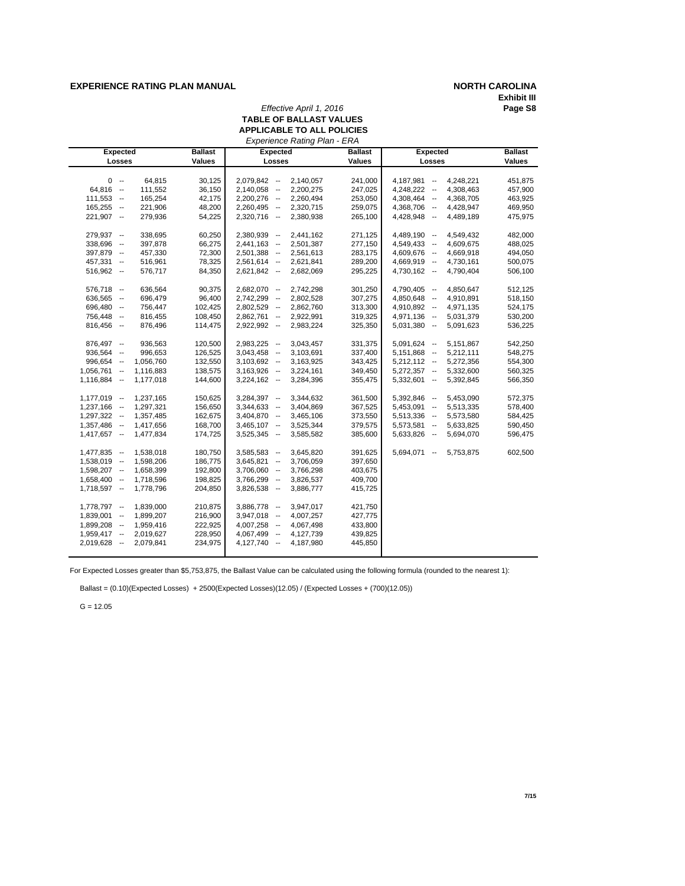#### **EXPERIENCE RATING PLAN MANUAL NORTH CAROLINA**

# **Exhibit III**

#### *Effective April 1, 2016* **TABLE OF BALLAST VALUES APPLICABLE TO ALL POLICIES**

| <b>Expected</b> |           | <b>Ballast</b> | <b>Expected</b>            | <b>Ballast</b> | <b>Expected</b>              | <b>Ballast</b> |
|-----------------|-----------|----------------|----------------------------|----------------|------------------------------|----------------|
| Losses          |           | <b>Values</b>  | Losses                     | <b>Values</b>  | Losses                       | <b>Values</b>  |
|                 |           |                |                            |                |                              |                |
| $0 -$           | 64,815    | 30,125         | $2,079,842 -$<br>2,140,057 | 241,000        | $4,187,981 -$<br>4,248,221   | 451,875        |
| $64,816 -$      | 111,552   | 36,150         | 2,200,275<br>$2,140,058 -$ | 247,025        | 4,248,222 --<br>4,308,463    | 457,900        |
| $111,553 -$     | 165,254   | 42,175         | $2,200,276 -$<br>2,260,494 | 253,050        | 4,368,705<br>4,308,464 --    | 463,925        |
| $165,255 -$     | 221,906   | 48,200         | $2,260,495 -$<br>2,320,715 | 259,075        | 4,368,706 --<br>4,428,947    | 469,950        |
| $221,907 -$     | 279,936   | 54,225         | $2,320,716 -$<br>2,380,938 | 265,100        | 4,428,948 --<br>4,489,189    | 475,975        |
| 279,937 --      | 338,695   | 60,250         | $2,380,939 -$<br>2,441,162 | 271,125        | 4,489,190 --<br>4,549,432    | 482,000        |
| 338,696 --      | 397,878   | 66,275         | 2,501,387<br>$2,441,163 -$ | 277,150        | 4,609,675<br>4,549,433 --    | 488,025        |
| 397,879 --      | 457,330   | 72,300         | $2,501,388 -$<br>2,561,613 | 283,175        | 4,609,676 --<br>4,669,918    | 494,050        |
| $457,331 -$     | 516,961   | 78,325         | $2,561,614 -$<br>2,621,841 | 289,200        | 4,669,919 --<br>4,730,161    | 500,075        |
| $516,962 -$     | 576,717   | 84,350         | $2,621,842 -$<br>2,682,069 | 295,225        | $4,730,162 -$<br>4,790,404   | 506,100        |
| $576,718 -$     | 636,564   | 90,375         | 2,682,070 --<br>2,742,298  | 301,250        | 4,790,405 --<br>4,850,647    | 512,125        |
| 636,565 --      | 696,479   | 96,400         | 2,742,299 --<br>2,802,528  | 307,275        | 4,850,648 --<br>4,910,891    | 518,150        |
| $696,480 -$     | 756,447   | 102,425        | 2,862,760<br>$2,802,529 -$ | 313,300        | 4,910,892 --<br>4,971,135    | 524,175        |
| 756,448 --      | 816,455   | 108,450        | $2,862,761 -$<br>2,922,991 | 319,325        | $4,971,136 -$<br>5,031,379   | 530,200        |
| $816,456 -$     | 876,496   | 114,475        | $2,922,992 -$<br>2,983,224 | 325,350        | $5,031,380 -$<br>5,091,623   | 536,225        |
| 876,497 --      | 936,563   | 120,500        | $2,983,225 -$<br>3,043,457 | 331,375        | $5,091,624 -$<br>5,151,867   | 542,250        |
| $936,564 -$     | 996,653   | 126,525        | $3,043,458 -$<br>3,103,691 | 337,400        | 5,212,111<br>$5,151,868 -$   | 548,275        |
| $996,654 -$     | 1,056,760 | 132,550        | $3,103,692 -$<br>3,163,925 | 343,425        | 5,272,356<br>$5,212,112 - -$ | 554,300        |
| $1,056,761 -$   | 1,116,883 | 138,575        | $3,163,926 -$<br>3,224,161 | 349,450        | 5,332,600<br>$5,272,357 -$   | 560,325        |
| $1,116,884 -$   | 1,177,018 | 144,600        | $3,224,162 -$<br>3,284,396 | 355,475        | $5,332,601 -$<br>5,392,845   | 566,350        |
| $1,177,019 -$   | 1,237,165 | 150,625        | $3,284,397 -$<br>3,344,632 | 361,500        | $5,392,846 -$<br>5,453,090   | 572,375        |
| $1,237,166 -$   | 1,297,321 | 156,650        | $3,344,633 -$<br>3,404,869 | 367,525        | $5,453,091 -$<br>5,513,335   | 578,400        |
| $1,297,322 -$   | 1,357,485 | 162,675        | $3,404,870 -$<br>3,465,106 | 373,550        | $5,513,336 -$<br>5,573,580   | 584,425        |
| $1,357,486 -$   | 1,417,656 | 168,700        | $3,465,107 -$<br>3,525,344 | 379,575        | 5,633,825<br>$5,573,581 -$   | 590,450        |
| $1,417,657 -$   | 1,477,834 | 174,725        | 3,585,582<br>$3,525,345 -$ | 385,600        | 5,694,070<br>$5,633,826$ --  | 596,475        |
| $1,477,835 -$   | 1,538,018 | 180,750        | $3,585,583 -$<br>3,645,820 | 391,625        | $5,694,071 -$<br>5,753,875   | 602,500        |
| $1,538,019 -$   | 1,598,206 | 186,775        | $3,645,821 -$<br>3,706,059 | 397,650        |                              |                |
| $1,598,207 -$   | 1,658,399 | 192,800        | $3,706,060 -$<br>3,766,298 | 403,675        |                              |                |
| $1,658,400 -$   | 1,718,596 | 198,825        | 3,826,537<br>$3,766,299 -$ | 409,700        |                              |                |
| $1,718,597 -$   | 1,778,796 | 204,850        | $3,826,538 -$<br>3,886,777 | 415,725        |                              |                |
| $1,778,797 -$   | 1,839,000 | 210,875        | $3,886,778 -$<br>3,947,017 | 421,750        |                              |                |
| $1,839,001 -$   | 1,899,207 | 216,900        | $3,947,018 -$<br>4,007,257 | 427,775        |                              |                |
| $1,899,208 -$   | 1,959,416 | 222,925        | $4,007,258 -$<br>4,067,498 | 433,800        |                              |                |
| $1,959,417 -$   | 2,019,627 | 228,950        | 4,067,499 --<br>4,127,739  | 439,825        |                              |                |
|                 | 2,079,841 | 234,975        | $4,127,740 -$<br>4,187,980 | 445,850        |                              |                |
| $2,019,628 -$   |           |                |                            |                |                              |                |

For Expected Losses greater than \$5,753,875, the Ballast Value can be calculated using the following formula (rounded to the nearest 1):

Ballast = (0.10)(Expected Losses) + 2500(Expected Losses)(12.05) / (Expected Losses + (700)(12.05))

 $G = 12.05$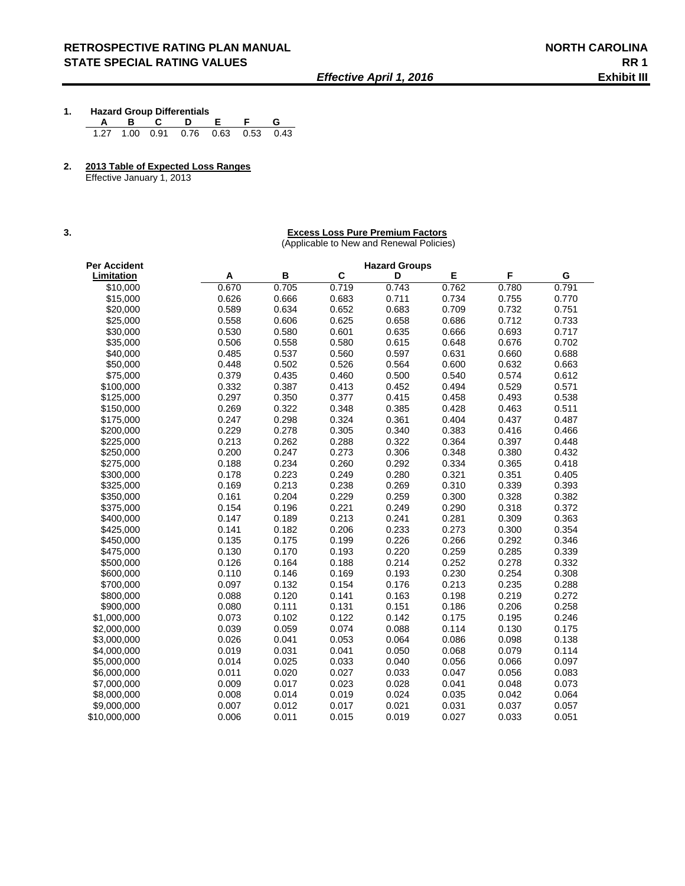- **1. Hazard Group Differentials A B C D E F G**  1.27 1.00 0.91 0.76 0.63 0.53 0.43
- **2. 2013 Table of Expected Loss Ranges**

Effective January 1, 2013

#### **3. Excess Loss Pure Premium Factors**

(Applicable to New and Renewal Policies)

| Per Accident |       |       |       | <b>Hazard Groups</b> |       |       |       |
|--------------|-------|-------|-------|----------------------|-------|-------|-------|
| Limitation   | A     | В     | C     | D                    | E     | F     | G     |
| \$10,000     | 0.670 | 0.705 | 0.719 | 0.743                | 0.762 | 0.780 | 0.791 |
| \$15,000     | 0.626 | 0.666 | 0.683 | 0.711                | 0.734 | 0.755 | 0.770 |
| \$20,000     | 0.589 | 0.634 | 0.652 | 0.683                | 0.709 | 0.732 | 0.751 |
| \$25,000     | 0.558 | 0.606 | 0.625 | 0.658                | 0.686 | 0.712 | 0.733 |
| \$30,000     | 0.530 | 0.580 | 0.601 | 0.635                | 0.666 | 0.693 | 0.717 |
| \$35,000     | 0.506 | 0.558 | 0.580 | 0.615                | 0.648 | 0.676 | 0.702 |
| \$40,000     | 0.485 | 0.537 | 0.560 | 0.597                | 0.631 | 0.660 | 0.688 |
| \$50,000     | 0.448 | 0.502 | 0.526 | 0.564                | 0.600 | 0.632 | 0.663 |
| \$75,000     | 0.379 | 0.435 | 0.460 | 0.500                | 0.540 | 0.574 | 0.612 |
| \$100,000    | 0.332 | 0.387 | 0.413 | 0.452                | 0.494 | 0.529 | 0.571 |
| \$125,000    | 0.297 | 0.350 | 0.377 | 0.415                | 0.458 | 0.493 | 0.538 |
| \$150,000    | 0.269 | 0.322 | 0.348 | 0.385                | 0.428 | 0.463 | 0.511 |
| \$175,000    | 0.247 | 0.298 | 0.324 | 0.361                | 0.404 | 0.437 | 0.487 |
| \$200,000    | 0.229 | 0.278 | 0.305 | 0.340                | 0.383 | 0.416 | 0.466 |
| \$225,000    | 0.213 | 0.262 | 0.288 | 0.322                | 0.364 | 0.397 | 0.448 |
| \$250,000    | 0.200 | 0.247 | 0.273 | 0.306                | 0.348 | 0.380 | 0.432 |
| \$275,000    | 0.188 | 0.234 | 0.260 | 0.292                | 0.334 | 0.365 | 0.418 |
| \$300,000    | 0.178 | 0.223 | 0.249 | 0.280                | 0.321 | 0.351 | 0.405 |
| \$325.000    | 0.169 | 0.213 | 0.238 | 0.269                | 0.310 | 0.339 | 0.393 |
| \$350,000    | 0.161 | 0.204 | 0.229 | 0.259                | 0.300 | 0.328 | 0.382 |
| \$375,000    | 0.154 | 0.196 | 0.221 | 0.249                | 0.290 | 0.318 | 0.372 |
| \$400,000    | 0.147 | 0.189 | 0.213 | 0.241                | 0.281 | 0.309 | 0.363 |
| \$425,000    | 0.141 | 0.182 | 0.206 | 0.233                | 0.273 | 0.300 | 0.354 |
| \$450,000    | 0.135 | 0.175 | 0.199 | 0.226                | 0.266 | 0.292 | 0.346 |
| \$475,000    | 0.130 | 0.170 | 0.193 | 0.220                | 0.259 | 0.285 | 0.339 |
| \$500,000    | 0.126 | 0.164 | 0.188 | 0.214                | 0.252 | 0.278 | 0.332 |
| \$600,000    | 0.110 | 0.146 | 0.169 | 0.193                | 0.230 | 0.254 | 0.308 |
| \$700,000    | 0.097 | 0.132 | 0.154 | 0.176                | 0.213 | 0.235 | 0.288 |
| \$800,000    | 0.088 | 0.120 | 0.141 | 0.163                | 0.198 | 0.219 | 0.272 |
| \$900,000    | 0.080 | 0.111 | 0.131 | 0.151                | 0.186 | 0.206 | 0.258 |
| \$1,000,000  | 0.073 | 0.102 | 0.122 | 0.142                | 0.175 | 0.195 | 0.246 |
| \$2,000,000  | 0.039 | 0.059 | 0.074 | 0.088                | 0.114 | 0.130 | 0.175 |
| \$3,000,000  | 0.026 | 0.041 | 0.053 | 0.064                | 0.086 | 0.098 | 0.138 |
| \$4,000,000  | 0.019 | 0.031 | 0.041 | 0.050                | 0.068 | 0.079 | 0.114 |
| \$5,000,000  | 0.014 | 0.025 | 0.033 | 0.040                | 0.056 | 0.066 | 0.097 |
| \$6,000,000  | 0.011 | 0.020 | 0.027 | 0.033                | 0.047 | 0.056 | 0.083 |
| \$7,000,000  | 0.009 | 0.017 | 0.023 | 0.028                | 0.041 | 0.048 | 0.073 |
| \$8,000,000  | 0.008 | 0.014 | 0.019 | 0.024                | 0.035 | 0.042 | 0.064 |
| \$9,000,000  | 0.007 | 0.012 | 0.017 | 0.021                | 0.031 | 0.037 | 0.057 |
| \$10,000,000 | 0.006 | 0.011 | 0.015 | 0.019                | 0.027 | 0.033 | 0.051 |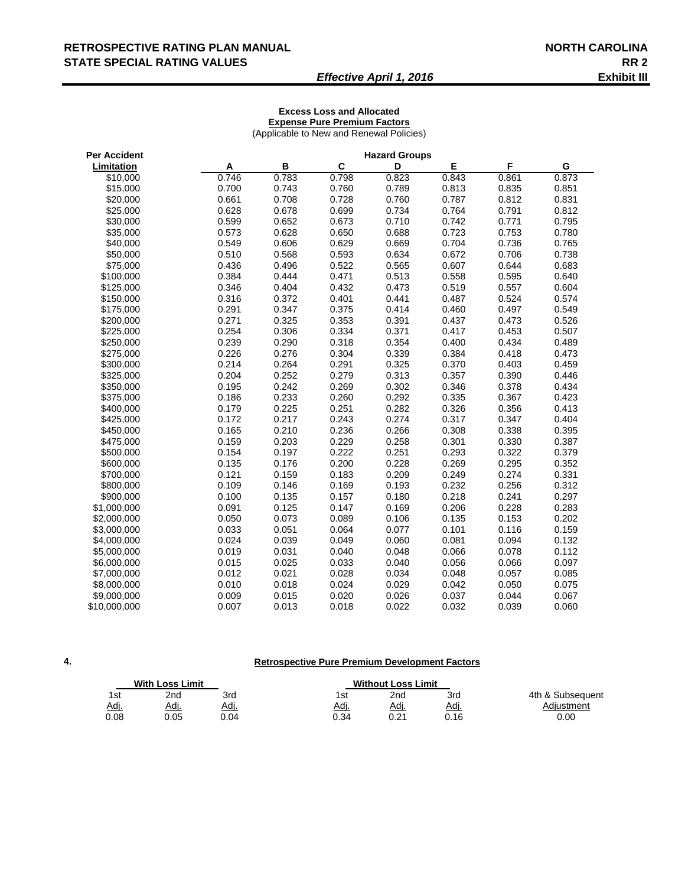## RETROSPECTIVE RATING PLAN MANUAL **NORTH CAROLINA STATE SPECIAL RATING VALUES RR 2**

## *Effective April 1, 2016* **Exhibit III**

#### **Excess Loss and Allocated Expense Pure Premium Factors**

(Applicable to New and Renewal Policies)

| <b>Per Accident</b> | <b>Hazard Groups</b> |       |       |       |       |       |       |
|---------------------|----------------------|-------|-------|-------|-------|-------|-------|
| Limitation          | A                    | B     | C     | D     | Е     | F     | G     |
| \$10,000            | 0.746                | 0.783 | 0.798 | 0.823 | 0.843 | 0.861 | 0.873 |
| \$15,000            | 0.700                | 0.743 | 0.760 | 0.789 | 0.813 | 0.835 | 0.851 |
| \$20,000            | 0.661                | 0.708 | 0.728 | 0.760 | 0.787 | 0.812 | 0.831 |
| \$25,000            | 0.628                | 0.678 | 0.699 | 0.734 | 0.764 | 0.791 | 0.812 |
| \$30,000            | 0.599                | 0.652 | 0.673 | 0.710 | 0.742 | 0.771 | 0.795 |
| \$35,000            | 0.573                | 0.628 | 0.650 | 0.688 | 0.723 | 0.753 | 0.780 |
| \$40,000            | 0.549                | 0.606 | 0.629 | 0.669 | 0.704 | 0.736 | 0.765 |
| \$50,000            | 0.510                | 0.568 | 0.593 | 0.634 | 0.672 | 0.706 | 0.738 |
| \$75,000            | 0.436                | 0.496 | 0.522 | 0.565 | 0.607 | 0.644 | 0.683 |
| \$100.000           | 0.384                | 0.444 | 0.471 | 0.513 | 0.558 | 0.595 | 0.640 |
| \$125,000           | 0.346                | 0.404 | 0.432 | 0.473 | 0.519 | 0.557 | 0.604 |
| \$150,000           | 0.316                | 0.372 | 0.401 | 0.441 | 0.487 | 0.524 | 0.574 |
| \$175,000           | 0.291                | 0.347 | 0.375 | 0.414 | 0.460 | 0.497 | 0.549 |
| \$200,000           | 0.271                | 0.325 | 0.353 | 0.391 | 0.437 | 0.473 | 0.526 |
| \$225,000           | 0.254                | 0.306 | 0.334 | 0.371 | 0.417 | 0.453 | 0.507 |
| \$250,000           | 0.239                | 0.290 | 0.318 | 0.354 | 0.400 | 0.434 | 0.489 |
| \$275,000           | 0.226                | 0.276 | 0.304 | 0.339 | 0.384 | 0.418 | 0.473 |
| \$300,000           | 0.214                | 0.264 | 0.291 | 0.325 | 0.370 | 0.403 | 0.459 |
| \$325,000           | 0.204                | 0.252 | 0.279 | 0.313 | 0.357 | 0.390 | 0.446 |
| \$350,000           | 0.195                | 0.242 | 0.269 | 0.302 | 0.346 | 0.378 | 0.434 |
| \$375,000           | 0.186                | 0.233 | 0.260 | 0.292 | 0.335 | 0.367 | 0.423 |
| \$400,000           | 0.179                | 0.225 | 0.251 | 0.282 | 0.326 | 0.356 | 0.413 |
| \$425,000           | 0.172                | 0.217 | 0.243 | 0.274 | 0.317 | 0.347 | 0.404 |
| \$450,000           | 0.165                | 0.210 | 0.236 | 0.266 | 0.308 | 0.338 | 0.395 |
| \$475,000           | 0.159                | 0.203 | 0.229 | 0.258 | 0.301 | 0.330 | 0.387 |
| \$500,000           | 0.154                | 0.197 | 0.222 | 0.251 | 0.293 | 0.322 | 0.379 |
| \$600,000           | 0.135                | 0.176 | 0.200 | 0.228 | 0.269 | 0.295 | 0.352 |
| \$700,000           | 0.121                | 0.159 | 0.183 | 0.209 | 0.249 | 0.274 | 0.331 |
| \$800,000           | 0.109                | 0.146 | 0.169 | 0.193 | 0.232 | 0.256 | 0.312 |
| \$900,000           | 0.100                | 0.135 | 0.157 | 0.180 | 0.218 | 0.241 | 0.297 |
| \$1,000,000         | 0.091                | 0.125 | 0.147 | 0.169 | 0.206 | 0.228 | 0.283 |
| \$2,000,000         | 0.050                | 0.073 | 0.089 | 0.106 | 0.135 | 0.153 | 0.202 |
| \$3,000,000         | 0.033                | 0.051 | 0.064 | 0.077 | 0.101 | 0.116 | 0.159 |
| \$4,000,000         | 0.024                | 0.039 | 0.049 | 0.060 | 0.081 | 0.094 | 0.132 |
| \$5,000,000         | 0.019                | 0.031 | 0.040 | 0.048 | 0.066 | 0.078 | 0.112 |
| \$6,000,000         | 0.015                | 0.025 | 0.033 | 0.040 | 0.056 | 0.066 | 0.097 |
| \$7,000,000         | 0.012                | 0.021 | 0.028 | 0.034 | 0.048 | 0.057 | 0.085 |
| \$8,000,000         | 0.010                | 0.018 | 0.024 | 0.029 | 0.042 | 0.050 | 0.075 |
| \$9,000,000         | 0.009                | 0.015 | 0.020 | 0.026 | 0.037 | 0.044 | 0.067 |
| \$10,000,000        | 0.007                | 0.013 | 0.018 | 0.022 | 0.032 | 0.039 | 0.060 |

**4.**

#### **Retrospective Pure Premium Development Factors**

| <b>With Loss Limit</b> |             |             |      | <b>Without Loss Limit</b> |             |                  |
|------------------------|-------------|-------------|------|---------------------------|-------------|------------------|
| 1st                    | 2nd         | 3rd         | 1st  | 2na                       | 3rd         | 4th & Subsequent |
| <u>Adj.</u>            | <u>Adı.</u> | <u>Adj.</u> | Adi. | Adj.                      | <u>Adj.</u> | Adiustment       |
| 0.08                   | 0.05        | ን.04        | 0.34 | 0.21                      | 0.16        | 0.00             |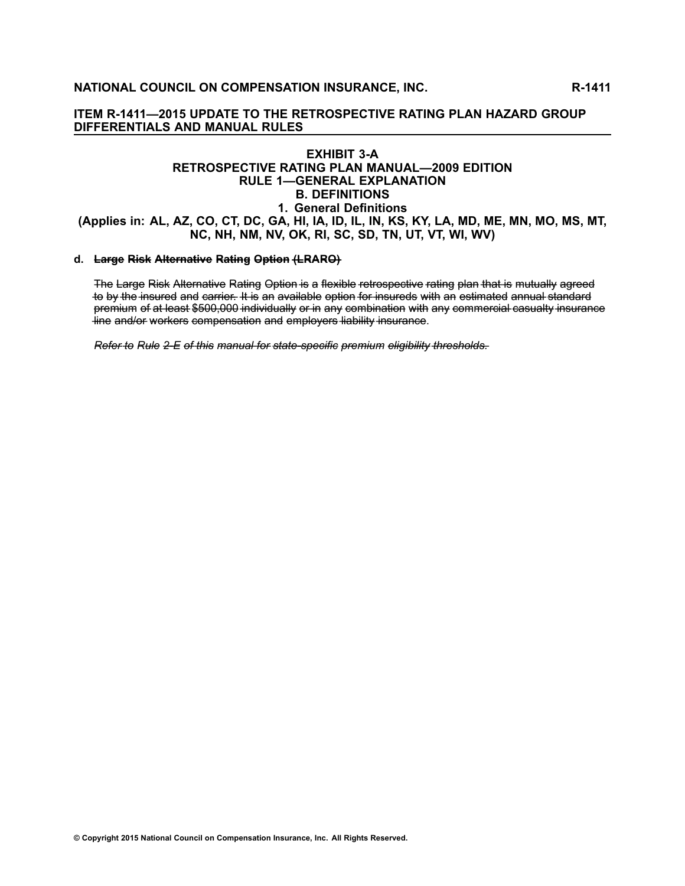#### **EXHIBIT 3-A RETROSPECTIVE RATING PLAN MANUAL—2009 EDITION RULE 1—GENERAL EXPLANATION B. DEFINITIONS 1. General Definitions** (Applies in: AL, AZ, CO, CT, DC, GA, HI, IA, ID, IL, IN, KS, KY, LA, MD, ME, MN, MO, MS, MT, NC, NH, NM, NV, OK, RI, SC, SD, TN, UT, VT, WI, WV)

#### **d. Large Risk Alternative Rating Option (LRARO)**

The Large Risk Alternative Rating Option is a flexible retrospective rating plan that is mutually agreed to by the insured and carrier. It is an available option for insureds with an estimated annual standard premium of at least \$500,000 individually or in any combination with any commercial casualty insurance  $\frac{1}{2}$  line and/or workers compensation and employers liability insurance.

Refer to Rule 2-E of this manual for state-specific premium eligibility thresholds.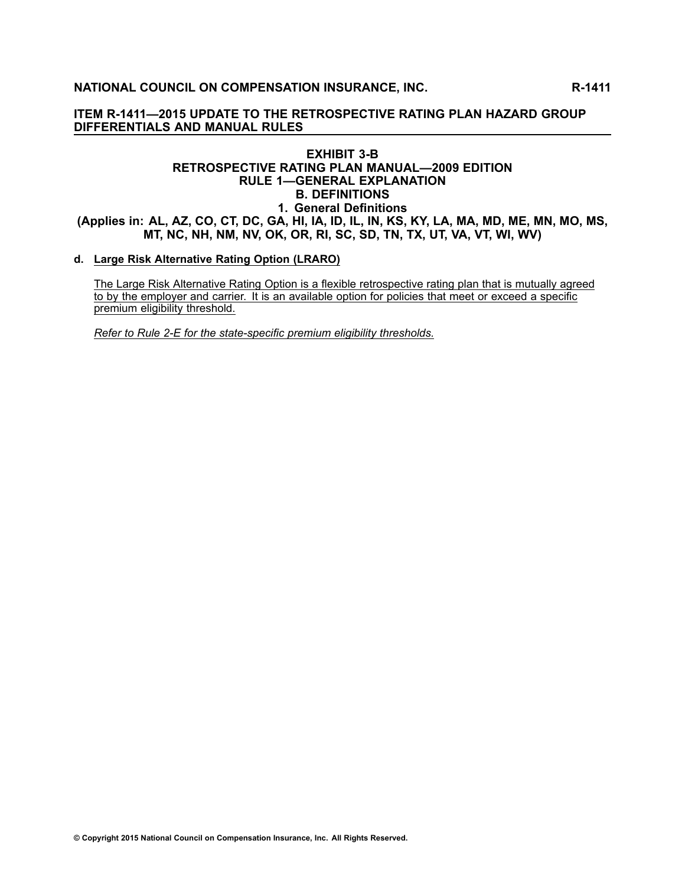## **NATIONAL COUNCIL ON COMPENSATION INSURANCE, INC. R-1411**

## **ITEM R-1411—2015 UPDATE TO THE RETROSPECTIVE RATING PLAN HAZARD GROUP DIFFERENTIALS AND MANUAL RULES**

#### **EXHIBIT 3-B RETROSPECTIVE RATING PLAN MANUAL—2009 EDITION RULE 1—GENERAL EXPLANATION B. DEFINITIONS 1. General Definitions** (Applies in: AL, AZ, CO, CT, DC, GA, HI, IA, ID, IL, IN, KS, KY, LA, MA, MD, ME, MN, MO, MS, MT, NC, NH, NM, NV, OK, OR, RI, SC, SD, TN, TX, UT, VA, VT, WI, WV)

#### **d. Large Risk Alternative Rating Option (LRARO)**

The Large Risk Alternative Rating Option is a flexible retrospective rating plan that is mutually agreed to by the employer and carrier. It is an available option for policies that meet or exceed <sup>a</sup> specific premium eligibility threshold.

*Refer to Rule 2-E for the state-specific premium eligibility thresholds.*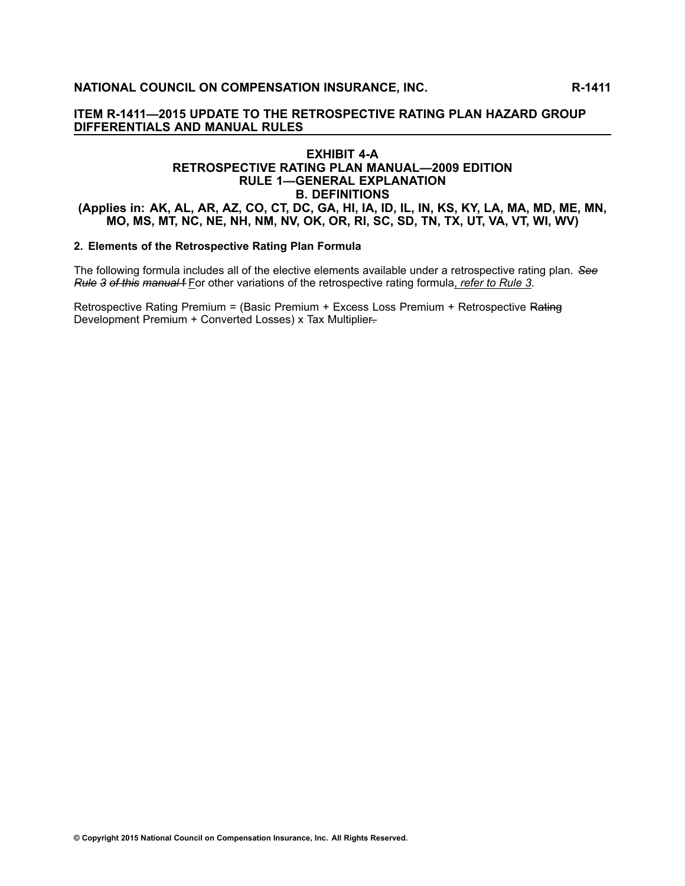## **EXHIBIT 4-A RETROSPECTIVE RATING PLAN MANUAL—2009 EDITION RULE 1—GENERAL EXPLANATION B. DEFINITIONS** (Applies in: AK, AL, AR, AZ, CO, CT, DC, GA, HI, IA, ID, IL, IN, KS, KY, LA, MA, MD, ME, MN, MO, MS, MT, NC, NE, NH, NM, NV, OK, OR, RI, SC, SD, TN, TX, UT, VA, VT, WI, WV)

## **2. Elements of the Retrospective Rating Plan Formula**

The following formula includes all of the elective elements available under a retrospective rating plan. See Rule 3 of this manual f For other variations of the retrospective rating formula, refer to Rule 3.

Retrospective Rating Premium = (Basic Premium + Excess Loss Premium + Retrospective Rating Development Premium + Converted Losses) x Tax Multiplier-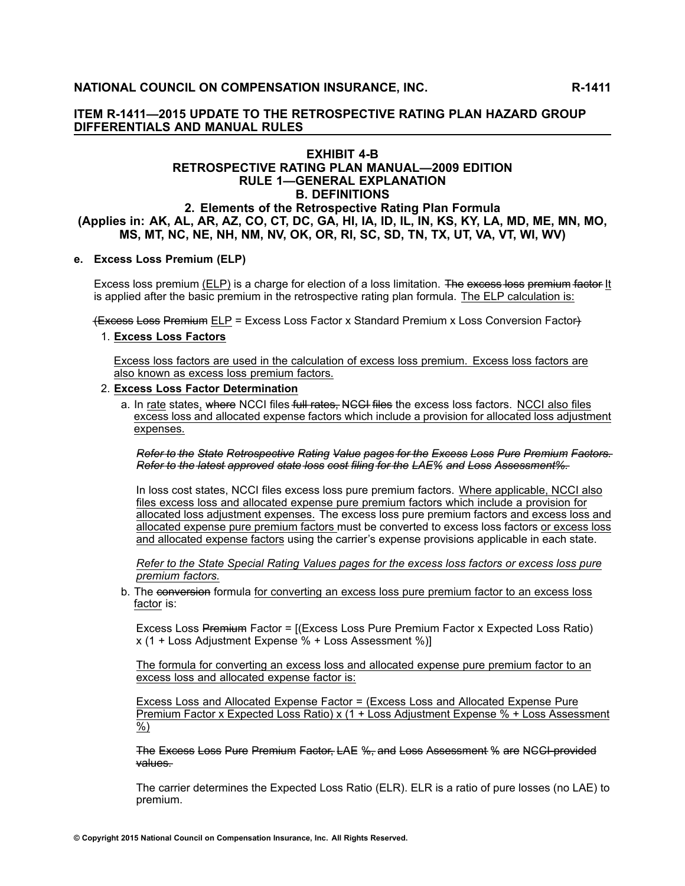## **EXHIBIT 4-B RETROSPECTIVE RATING PLAN MANUAL—2009 EDITION RULE 1—GENERAL EXPLANATION B. DEFINITIONS 2. Elements of the Retrospective Rating Plan Formula** (Applies in: AK, AL, AR, AZ, CO, CT, DC, GA, HI, IA, ID, IL, IN, KS, KY, LA, MD, ME, MN, MO, MS, MT, NC, NE, NH, NM, NV, OK, OR, RI, SC, SD, TN, TX, UT, VA, VT, WI, WV)

#### **e. Excess Loss Premium (ELP)**

Excess loss premium (ELP) is a charge for election of a loss limitation. The excess-loss premium factor It is applied after the basic premium in the retrospective rating plan formula. The ELP calculation is:

<del>(Excess Loss Premium</del> ELP = Excess Loss Factor x Standard Premium x Loss Conversion Factor)

## 1. **Excess Loss Factors**

Excess loss factors are used in the calculation of excess loss premium. Excess loss factors are also known as excess loss premium factors.

#### 2. **Excess Loss Factor Determination**

a. In rate states, where NCCI files full rates. NGCI files the excess loss factors. NCCI also files excess loss and allocated expense factors which include <sup>a</sup> provision for allocated loss adjustment expenses.

Refer to the State Retrospective Rating Value pages for the Excess Loss Pure Premium Factors. Refer to the latest approved state loss cost filing for the LAE% and Loss Assessment%.

In loss cost states, NCCI files excess loss pure premium factors. Where applicable, NCCI also files excess loss and allocated expense pure premium factors which include <sup>a</sup> provision for allocated loss adjustment expenses. The excess loss pure premium factors and excess loss and allocated expense pure premium factors must be converted to excess loss factors or excess loss and allocated expense factors using the carrier's expense provisions applicable in each state.

Refer to the State Special Rating Values pages for the excess loss factors or excess loss pure *premium factors.*

b. The conversion formula for converting an excess loss pure premium factor to an excess loss factor is:

Excess Loss Premium Factor = [(Excess Loss Pure Premium Factor x Expected Loss Ratio) <sup>x</sup> (1 <sup>+</sup> Loss Adjustment Expense % <sup>+</sup> Loss Assessment %)]

The formula for converting an excess loss and allocated expense pure premium factor to an excess loss and allocated expense factor is:

Excess Loss and Allocated Expense Factor <sup>=</sup> (Excess Loss and Allocated Expense Pure Premium Factor <sup>x</sup> Expected Loss Ratio) <sup>x</sup> (1 <sup>+</sup> Loss Adjustment Expense % <sup>+</sup> Loss Assessment %)

The Excess Loss Pure Premium Factor, LAE %, and Loss Assessment % are NGCI provided values.

The carrier determines the Expected Loss Ratio (ELR). ELR is <sup>a</sup> ratio of pure losses (no LAE) to premium.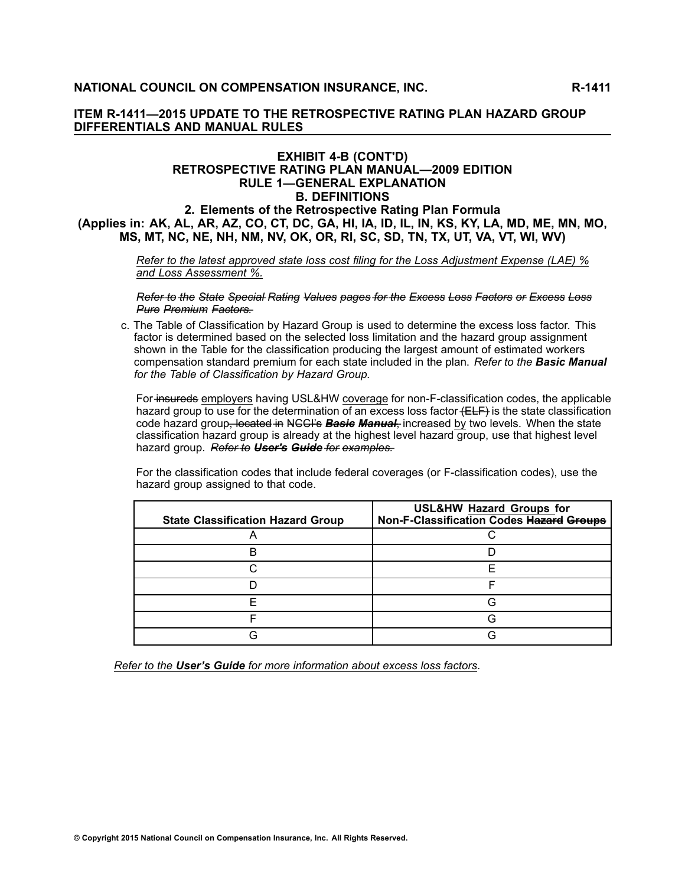## **EXHIBIT 4-B (CONT'D) RETROSPECTIVE RATING PLAN MANUAL—2009 EDITION RULE 1—GENERAL EXPLANATION B. DEFINITIONS 2. Elements of the Retrospective Rating Plan Formula** (Applies in: AK, AL, AR, AZ, CO, CT, DC, GA, HI, IA, ID, IL, IN, KS, KY, LA, MD, ME, MN, MO, MS, MT, NC, NE, NH, NM, NV, OK, OR, RI, SC, SD, TN, TX, UT, VA, VT, WI, WV)

Refer to the latest approved state loss cost filing for the Loss Adjustment Expense (LAE) % *and Loss Assessment %.*

Refer to the State Special Rating Values pages for the Excess Loss Factors or Excess Loss *P–u–r–e– P–r–e–m– i–u–m– F–a–c–t–o–r–s–.–*

c. The Table of Classification by Hazard Group is used to determine the excess loss factor. This factor is determined based on the selected loss limitation and the hazard group assignment shown in the Table for the classification producing the largest amount of estimated workers compensation standard premium for each state included in the plan. *Refer to the Basic Manual for the Table of Classification by Hazard Group.*

For insureds employers having USL&HW coverage for non-F-classification codes, the applicable hazard group to use for the determination of an excess loss factor  $\leftarrow$ ELF $\right)$  is the state classification code hazard group<del>, located in</del> NGCI's **Basie Manual**, increased by two levels. When the state classification hazard group is already at the highest level hazard group, use that highest level *hazard group. Refer-to User's Guide for examples.* 

For the classification codes that include federal coverages (or F-classification codes), use the hazard group assigned to that code.

| <b>State Classification Hazard Group</b> | <b>USL&amp;HW Hazard Groups for</b><br>Non-F-Classification Codes Hazard Groups |
|------------------------------------------|---------------------------------------------------------------------------------|
|                                          |                                                                                 |
| R                                        |                                                                                 |
|                                          |                                                                                 |
|                                          |                                                                                 |
|                                          |                                                                                 |
|                                          |                                                                                 |
|                                          |                                                                                 |

*Refer to the User's Guide for more information about excess loss factors*.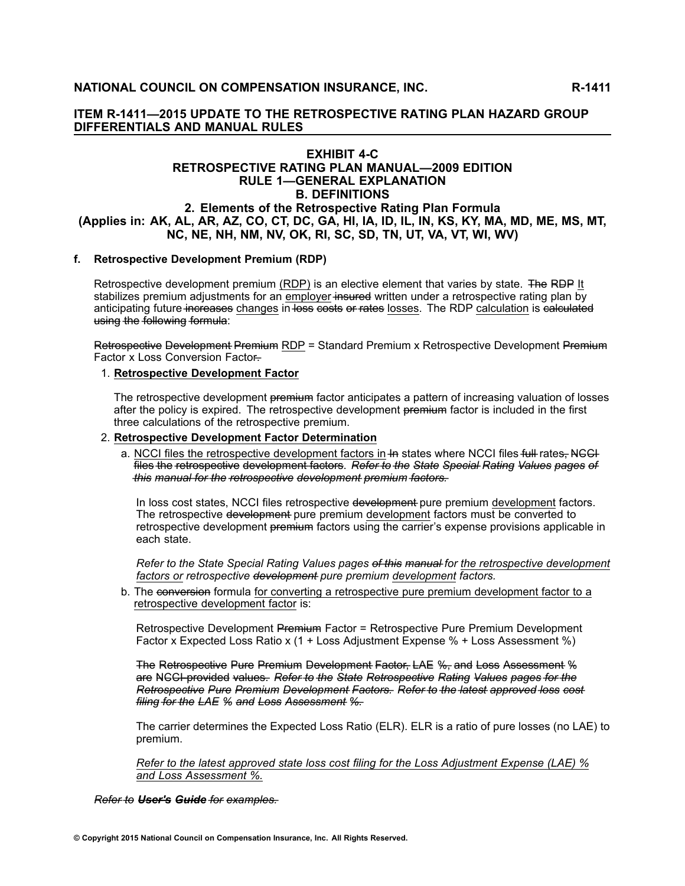## **EXHIBIT 4-C RETROSPECTIVE RATING PLAN MANUAL—2009 EDITION RULE 1—GENERAL EXPLANATION B. DEFINITIONS 2. Elements of the Retrospective Rating Plan Formula** (Applies in: AK, AL, AR, AZ, CO, CT, DC, GA, HI, IA, ID, IL, IN, KS, KY, MA, MD, ME, MS, MT, NC, NE, NH, NM, NV, OK, RI, SC, SD, TN, UT, VA, VT, WI, WV)

#### **f. Retrospective Development Premium (RDP)**

Retrospective development premium (RDP) is an elective element that varies by state. The RDP It stabilizes premium adjustments for an employer insured written under a retrospective rating plan by anticipating future increases changes in loss costs or rates losses. The RDP calculation is calculated using the following formula:

Retrospective Development Premium RDP = Standard Premium x Retrospective Development Premium Factor x Loss Conversion Factor-

#### 1. **Retrospective Development Factor**

The retrospective development premium factor anticipates a pattern of increasing valuation of losses after the policy is expired. The retrospective development premium factor is included in the first three calculations of the retrospective premium.

#### 2. **Retrospective Development Factor Determination**

a. NCCI files the retrospective development factors in In states where NCCI files full rates, NGCI files the retrospective development factors. Refer to the State Special Rating Values pages of this manual for the retrospective development premium factors.

In loss cost states, NCCI files retrospective development pure premium development factors. The retrospective development pure premium development factors must be converted to retrospective development premium factors using the carrier's expense provisions applicable in each state.

Refer to the State Special Rating Values pages of this manual for the retrospective development *factors or retrospective d–e–v–e–l–o–p–m– e–n–t– pure premium development factors.*

b. The conversion formula for converting a retrospective pure premium development factor to a retrospective development factor is:

Retrospective Development Premium Factor = Retrospective Pure Premium Development Factor x Expected Loss Ratio x (1 + Loss Adjustment Expense % + Loss Assessment %)

The Retrospective Pure Premium Development Factor, LAE %, and Loss Assessment % are NGCI provided values. Refer to the State Retrospective Rating Values pages for the Retrospective Pure Premium Development Factors. Refer to the latest approved loss cost filing for the LAE % and Loss Assessment %.

The carrier determines the Expected Loss Ratio (ELR). ELR is <sup>a</sup> ratio of pure losses (no LAE) to premium.

Refer to the latest approved state loss cost filing for the Loss Adjustment Expense (LAE) % *and Loss Assessment %.*

*R–e–f–e–r– t–o– U–s–e–r–'–s– G–u–i–d–e– f–o–r– e–x–a–m– p–l–e–s–.–*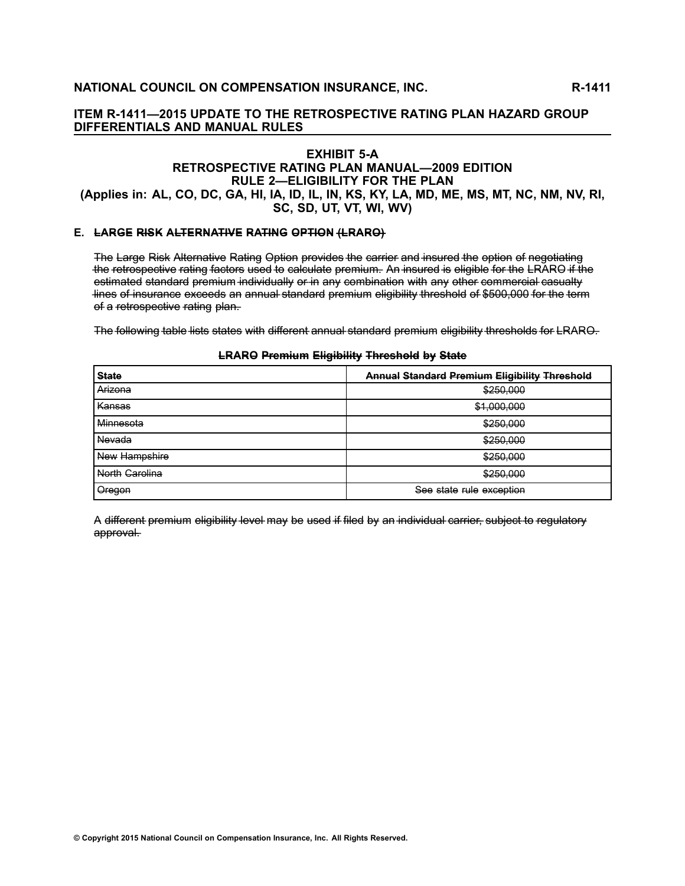# **EXHIBIT 5-A RETROSPECTIVE RATING PLAN MANUAL—2009 EDITION RULE 2—ELIGIBILITY FOR THE PLAN**

(Applies in: AL, CO, DC, GA, HI, IA, ID, IL, IN, KS, KY, LA, MD, ME, MS, MT, NC, NM, NV, RI, **SC, SD, UT, VT, WI, WV)**

#### **E. LARGE RISK ALTERNATIVE RATING OPTION (LRARO)**

The Large Risk Alternative Rating Option provides the carrier and insured the option of negotiating the retrospective rating factors used to calculate premium. An insured is eligible for the LRARO if the estimated standard premium individually or in any combination with any other commercial casualty lines of insurance exceeds an annual standard premium eligibility threshold of \$500,000 for the term of a retrospective rating plan.

The following table lists states with different annual standard premium eligibility thresholds for LRARO.

#### **LRARO Premium Eligibility Threshold by State**

| <b>State</b>   | <b>Annual Standard Premium Eligibility Threshold</b> |
|----------------|------------------------------------------------------|
| Arizona        | \$250.000                                            |
| Kansas         | \$1,000,000                                          |
| Minnesota      | \$250,000                                            |
| Nevada         | \$250,000                                            |
| New Hampshire  | \$250,000                                            |
| North Carolina | \$250,000                                            |
| Oregon         | See state rule exception                             |

A different premium eligibility level may be used if filed by an individual carrier, subject to regulatory approval.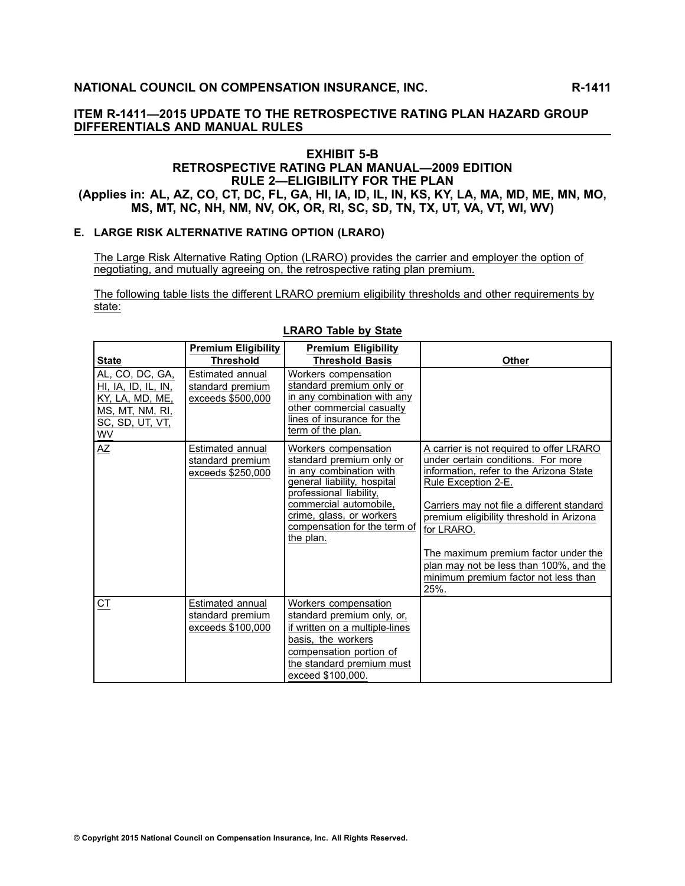## **EXHIBIT 5-B RETROSPECTIVE RATING PLAN MANUAL—2009 EDITION RULE 2—ELIGIBILITY FOR THE PLAN** (Applies in: AL, AZ, CO, CT, DC, FL, GA, HI, IA, ID, IL, IN, KS, KY, LA, MA, MD, ME, MN, MO, MS, MT, NC, NH, NM, NV, OK, OR, RI, SC, SD, TN, TX, UT, VA, VT, WI, WV)

#### **E. LARGE RISK ALTERNATIVE RATING OPTION (LRARO)**

The Large Risk Alternative Rating Option (LRARO) provides the carrier and employer the option of negotiating, and mutually agreeing on, the retrospective rating plan premium.

The following table lists the different LRARO premium eligibility thresholds and other requirements by state:

| <b>State</b>                                                                                          | <b>Premium Eligibility</b><br><b>Threshold</b>            | <b>Premium Eligibility</b><br><b>Threshold Basis</b>                                                                                                                                                                                     | <b>Other</b>                                                                                                                                                                                                                                                                                                                                                                                |
|-------------------------------------------------------------------------------------------------------|-----------------------------------------------------------|------------------------------------------------------------------------------------------------------------------------------------------------------------------------------------------------------------------------------------------|---------------------------------------------------------------------------------------------------------------------------------------------------------------------------------------------------------------------------------------------------------------------------------------------------------------------------------------------------------------------------------------------|
| AL, CO, DC, GA,<br>HI, IA, ID, IL, IN,<br>KY, LA, MD, ME,<br>MS, MT, NM, RI,<br>SC, SD, UT, VT,<br>WV | Estimated annual<br>standard premium<br>exceeds \$500,000 | Workers compensation<br>standard premium only or<br>in any combination with any<br>other commercial casualty<br>lines of insurance for the<br>term of the plan.                                                                          |                                                                                                                                                                                                                                                                                                                                                                                             |
| AZ                                                                                                    | Estimated annual<br>standard premium<br>exceeds \$250,000 | Workers compensation<br>standard premium only or<br>in any combination with<br>general liability, hospital<br>professional liability,<br>commercial automobile,<br>crime, glass, or workers<br>compensation for the term of<br>the plan. | A carrier is not required to offer LRARO<br>under certain conditions. For more<br>information, refer to the Arizona State<br>Rule Exception 2-E.<br>Carriers may not file a different standard<br>premium eligibility threshold in Arizona<br>for LRARO.<br>The maximum premium factor under the<br>plan may not be less than 100%, and the<br>minimum premium factor not less than<br>25%. |
| $C$ T                                                                                                 | Estimated annual<br>standard premium<br>exceeds \$100,000 | Workers compensation<br>standard premium only, or,<br>if written on a multiple-lines<br>basis, the workers<br>compensation portion of<br>the standard premium must<br>exceed \$100,000.                                                  |                                                                                                                                                                                                                                                                                                                                                                                             |

#### **LRARO Table by State**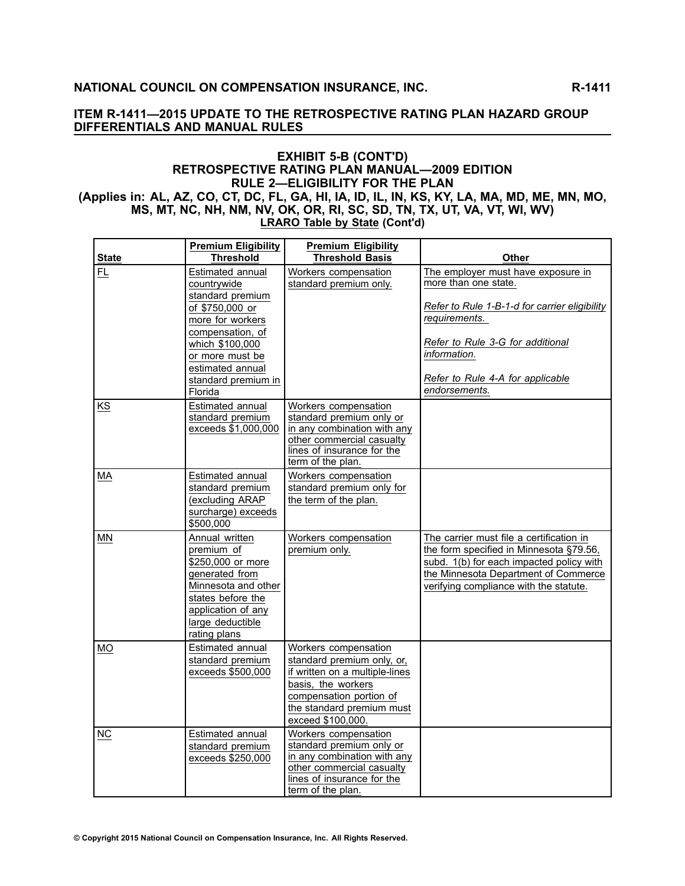#### **EXHIBIT 5-B (CONT'D) RETROSPECTIVE RATING PLAN MANUAL—2009 EDITION RULE 2—ELIGIBILITY FOR THE PLAN** (Applies in: AL, AZ, CO, CT, DC, FL, GA, HI, IA, ID, IL, IN, KS, KY, LA, MA, MD, ME, MN, MO, MS, MT, NC, NH, NM, NV, OK, OR, RI, SC, SD, TN, TX, UT, VA, VT, WI, WV) **LRARO Table by State (Cont'd)**

|              | <b>Premium Eligibility</b>                                                                                                                                                                                 | <b>Premium Eligibility</b>                                                                                                                                                              |                                                                                                                                                                                                                                       |
|--------------|------------------------------------------------------------------------------------------------------------------------------------------------------------------------------------------------------------|-----------------------------------------------------------------------------------------------------------------------------------------------------------------------------------------|---------------------------------------------------------------------------------------------------------------------------------------------------------------------------------------------------------------------------------------|
| <b>State</b> | <b>Threshold</b>                                                                                                                                                                                           | <b>Threshold Basis</b>                                                                                                                                                                  | <b>Other</b>                                                                                                                                                                                                                          |
| <b>FL</b>    | Estimated annual<br>countrywide<br>standard premium<br>of \$750,000 or<br>more for workers<br>compensation, of<br>which \$100,000<br>or more must be<br>estimated annual<br>standard premium in<br>Florida | Workers compensation<br>standard premium only.                                                                                                                                          | The employer must have exposure in<br>more than one state.<br>Refer to Rule 1-B-1-d for carrier eligibility<br>requirements.<br>Refer to Rule 3-G for additional<br>information.<br>Refer to Rule 4-A for applicable<br>endorsements. |
| KS           | Estimated annual<br>standard premium<br>exceeds \$1,000,000                                                                                                                                                | Workers compensation<br>standard premium only or<br>in any combination with any<br>other commercial casualty<br>lines of insurance for the<br>term of the plan.                         |                                                                                                                                                                                                                                       |
| МA           | Estimated annual<br>standard premium<br>(excluding ARAP<br>surcharge) exceeds<br>\$500,000                                                                                                                 | Workers compensation<br>standard premium only for<br>the term of the plan.                                                                                                              |                                                                                                                                                                                                                                       |
| <b>MN</b>    | Annual written<br>premium of<br>\$250,000 or more<br>generated from<br>Minnesota and other<br>states before the<br>application of any<br>large deductible<br>rating plans                                  | Workers compensation<br>premium only.                                                                                                                                                   | The carrier must file a certification in<br>the form specified in Minnesota §79.56,<br>subd. 1(b) for each impacted policy with<br>the Minnesota Department of Commerce<br>verifying compliance with the statute.                     |
| <b>MO</b>    | Estimated annual<br>standard premium<br>exceeds \$500,000                                                                                                                                                  | Workers compensation<br>standard premium only, or,<br>if written on a multiple-lines<br>basis, the workers<br>compensation portion of<br>the standard premium must<br>exceed \$100,000. |                                                                                                                                                                                                                                       |
| ΝC           | Estimated annual<br>standard premium<br>exceeds \$250,000                                                                                                                                                  | Workers compensation<br>standard premium only or<br>in any combination with any<br>other commercial casualty<br>lines of insurance for the<br>term of the plan.                         |                                                                                                                                                                                                                                       |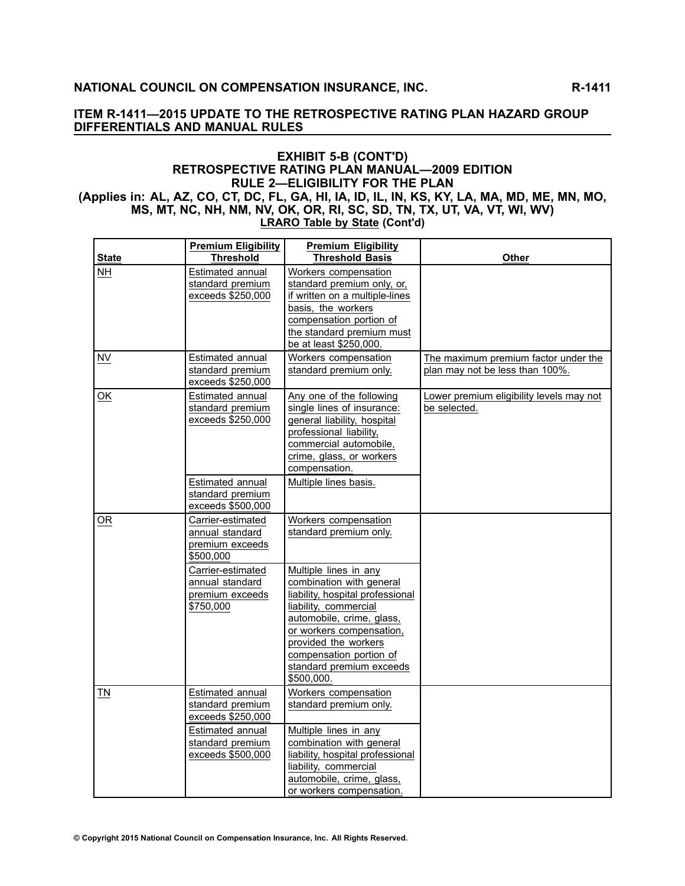#### **EXHIBIT 5-B (CONT'D) RETROSPECTIVE RATING PLAN MANUAL—2009 EDITION RULE 2—ELIGIBILITY FOR THE PLAN** (Applies in: AL, AZ, CO, CT, DC, FL, GA, HI, IA, ID, IL, IN, KS, KY, LA, MA, MD, ME, MN, MO, MS, MT, NC, NH, NM, NV, OK, OR, RI, SC, SD, TN, TX, UT, VA, VT, WI, WV)

**LRARO Table by State (Cont'd)**

|              | <b>Premium Eligibility</b>                                                                                             | <b>Premium Eligibility</b>                                                                                                                                                                                                                                           |                                                                         |
|--------------|------------------------------------------------------------------------------------------------------------------------|----------------------------------------------------------------------------------------------------------------------------------------------------------------------------------------------------------------------------------------------------------------------|-------------------------------------------------------------------------|
| <b>State</b> | <b>Threshold</b>                                                                                                       | <b>Threshold Basis</b>                                                                                                                                                                                                                                               | <b>Other</b>                                                            |
| <b>NH</b>    | Estimated annual<br>standard premium<br>exceeds \$250,000                                                              | Workers compensation<br>standard premium only, or,<br>if written on a multiple-lines<br>basis, the workers<br>compensation portion of<br>the standard premium must<br>be at least \$250,000.                                                                         |                                                                         |
| <b>NV</b>    | Estimated annual<br>standard premium<br>exceeds \$250,000                                                              | Workers compensation<br>standard premium only.                                                                                                                                                                                                                       | The maximum premium factor under the<br>plan may not be less than 100%. |
| OK           | Estimated annual<br>standard premium<br>exceeds \$250,000                                                              | Any one of the following<br>single lines of insurance:<br>general liability, hospital<br>professional liability,<br>commercial automobile,<br>crime, glass, or workers<br>compensation.                                                                              | Lower premium eligibility levels may not<br>be selected.                |
|              | Estimated annual<br>standard premium<br>exceeds \$500,000                                                              | Multiple lines basis.                                                                                                                                                                                                                                                |                                                                         |
| OR           | Carrier-estimated<br>annual standard<br>premium exceeds<br>\$500,000                                                   | Workers compensation<br>standard premium only.                                                                                                                                                                                                                       |                                                                         |
|              | Carrier-estimated<br>annual standard<br>premium exceeds<br>\$750,000                                                   | Multiple lines in any<br>combination with general<br>liability, hospital professional<br>liability, commercial<br>automobile, crime, glass,<br>or workers compensation,<br>provided the workers<br>compensation portion of<br>standard premium exceeds<br>\$500,000. |                                                                         |
| TN           | Estimated annual<br>standard premium<br>exceeds \$250,000<br>Estimated annual<br>standard premium<br>exceeds \$500,000 | Workers compensation<br>standard premium only.<br>Multiple lines in any<br>combination with general<br>liability, hospital professional<br>liability, commercial<br>automobile, crime, glass,<br>or workers compensation.                                            |                                                                         |

© Copyright 2015 National Council on Compensation Insurance, Inc. All Rights Reserved.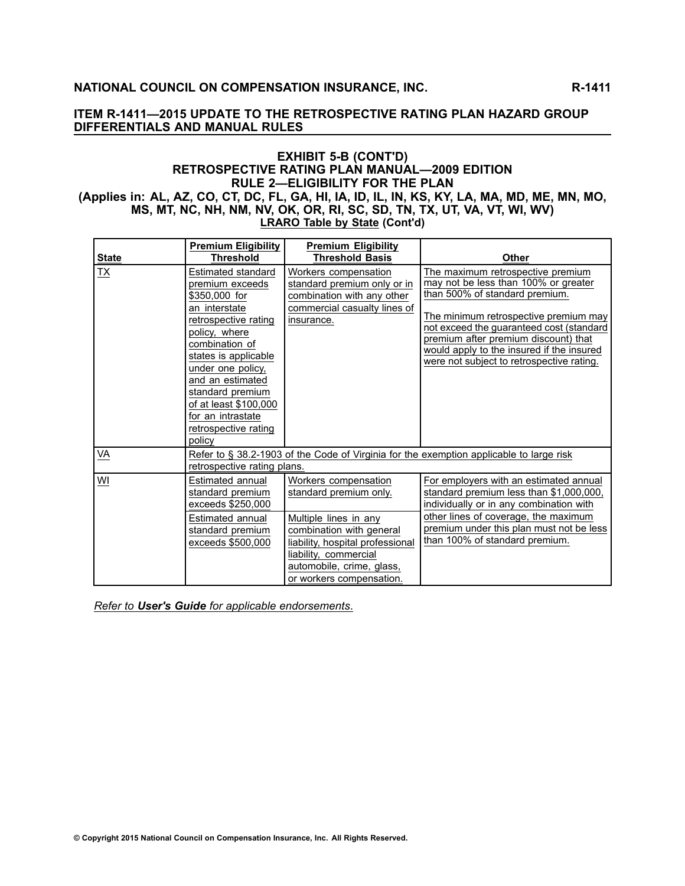## **EXHIBIT 5-B (CONT'D) RETROSPECTIVE RATING PLAN MANUAL—2009 EDITION RULE 2—ELIGIBILITY FOR THE PLAN** (Applies in: AL, AZ, CO, CT, DC, FL, GA, HI, IA, ID, IL, IN, KS, KY, LA, MA, MD, ME, MN, MO, MS, MT, NC, NH, NM, NV, OK, OR, RI, SC, SD, TN, TX, UT, VA, VT, WI, WV)

**LRARO Table by State (Cont'd)**

|              | <b>Premium Eligibility</b>                                                                                                                                                                                                                                                                              | <b>Premium Eligibility</b>                                                                                                                                              |                                                                                                                                                                                                                                                                                                                                    |
|--------------|---------------------------------------------------------------------------------------------------------------------------------------------------------------------------------------------------------------------------------------------------------------------------------------------------------|-------------------------------------------------------------------------------------------------------------------------------------------------------------------------|------------------------------------------------------------------------------------------------------------------------------------------------------------------------------------------------------------------------------------------------------------------------------------------------------------------------------------|
| <b>State</b> | <b>Threshold</b>                                                                                                                                                                                                                                                                                        | <b>Threshold Basis</b>                                                                                                                                                  | Other                                                                                                                                                                                                                                                                                                                              |
| <b>TX</b>    | Estimated standard<br>premium exceeds<br>\$350,000 for<br>an interstate<br>retrospective rating<br>policy, where<br>combination of<br>states is applicable<br>under one policy,<br>and an estimated<br>standard premium<br>of at least \$100,000<br>for an intrastate<br>retrospective rating<br>policy | Workers compensation<br>standard premium only or in<br>combination with any other<br>commercial casualty lines of<br>insurance.                                         | The maximum retrospective premium<br>may not be less than 100% or greater<br>than 500% of standard premium.<br>The minimum retrospective premium may<br>not exceed the guaranteed cost (standard<br>premium after premium discount) that<br>would apply to the insured if the insured<br>were not subject to retrospective rating. |
| VA           | retrospective rating plans.                                                                                                                                                                                                                                                                             |                                                                                                                                                                         | Refer to § 38.2-1903 of the Code of Virginia for the exemption applicable to large risk                                                                                                                                                                                                                                            |
| WI           | Estimated annual<br>standard premium<br>exceeds \$250,000                                                                                                                                                                                                                                               | Workers compensation<br>standard premium only.                                                                                                                          | For employers with an estimated annual<br>standard premium less than \$1,000,000,<br>individually or in any combination with                                                                                                                                                                                                       |
|              | Estimated annual<br>standard premium<br>exceeds \$500,000                                                                                                                                                                                                                                               | Multiple lines in any<br>combination with general<br>liability, hospital professional<br>liability, commercial<br>automobile, crime, glass,<br>or workers compensation. | other lines of coverage, the maximum<br>premium under this plan must not be less<br>than 100% of standard premium.                                                                                                                                                                                                                 |

*Refer to User's Guide for applicable endorsements*.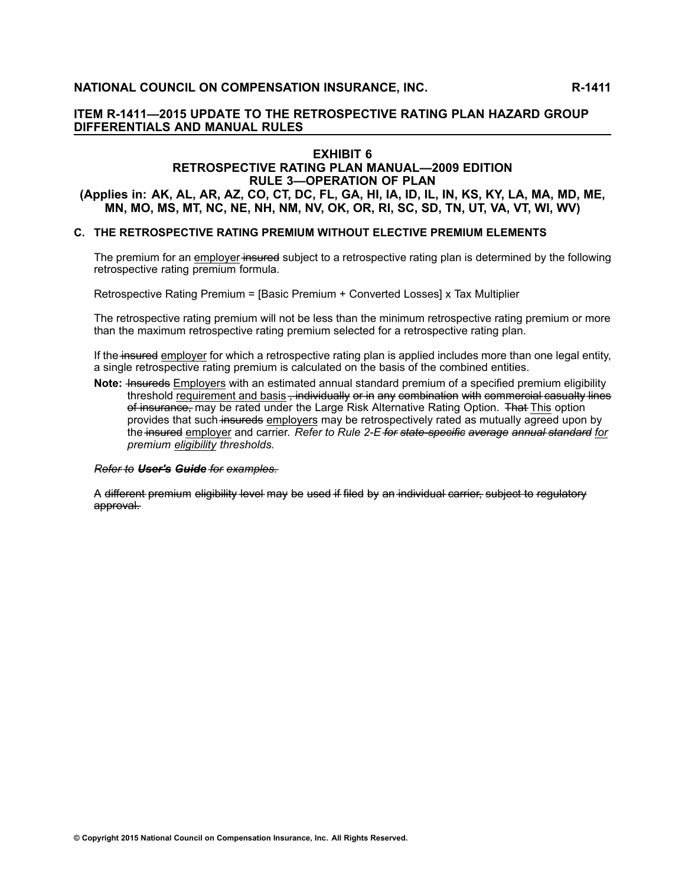# **EXHIBIT <sup>6</sup>**

#### **RETROSPECTIVE RATING PLAN MANUAL—2009 EDITION RULE 3—OPERATION OF PLAN**

(Applies in: AK, AL, AR, AZ, CO, CT, DC, FL, GA, HI, IA, ID, IL, IN, KS, KY, LA, MA, MD, ME, MN, MO, MS, MT, NC, NE, NH, NM, NV, OK, OR, RI, SC, SD, TN, UT, VA, VT, WI, WV)

## **C. THE RETROSPECTIVE RATING PREMIUM WITHOUT ELECTIVE PREMIUM ELEMENTS**

The premium for an employer insured subject to a retrospective rating plan is determined by the following retrospective rating premium formula.

Retrospective Rating Premium <sup>=</sup> [Basic Premium <sup>+</sup> Converted Losses] <sup>x</sup> Tax Multiplier

The retrospective rating premium will not be less than the minimum retrospective rating premium or more than the maximum retrospective rating premium selected for <sup>a</sup> retrospective rating plan.

If the insured employer for which a retrospective rating plan is applied includes more than one legal entity, <sup>a</sup> single retrospective rating premium is calculated on the basis of the combined entities.

**Note: Insureds** Employers with an estimated annual standard premium of a specified premium eligibility threshold requirement and basis – individually or in any combination with commercial casualty lines of insurance, may be rated under the Large Risk Alternative Rating Option. That This option provides that such insureds employers may be retrospectively rated as mutually agreed upon by the insured employer and carrier. Refer to Rule 2-E for state-specific average annual standard for *premium eligibility thresholds.*

#### *R–e–f–e–r– t–o– U–s–e–r–'–s– G–u–i–d–e– f–o–r– e–x–a–m– p–l–e–s–.–*

A different premium eligibility level may be used if filed by an individual carrier, subject to regulatory approval.